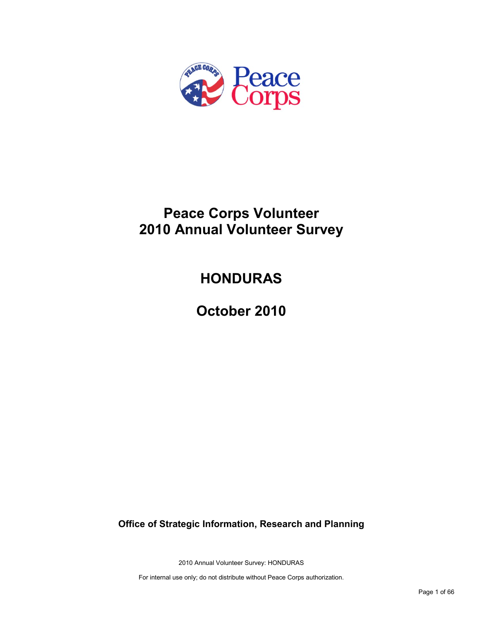

# **Peace Corps Volunteer 2010 Annual Volunteer Survey**

# **HONDURAS**

**October 2010**

**Office of Strategic Information, Research and Planning**

2010 Annual Volunteer Survey: HONDURAS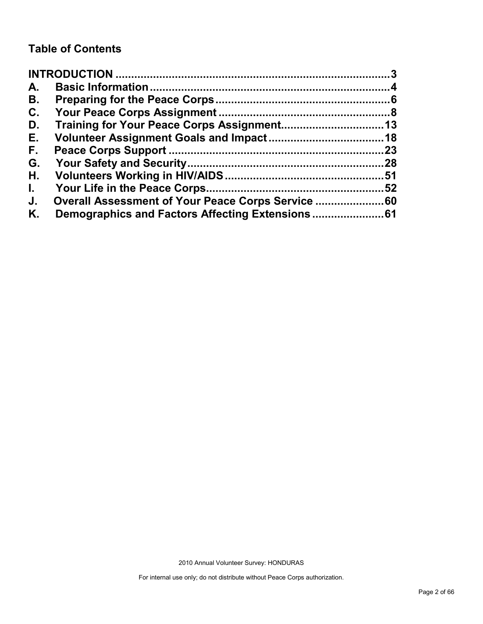# **Table of Contents**

| A.           |                                                    |     |
|--------------|----------------------------------------------------|-----|
| В.           |                                                    |     |
| C.           |                                                    |     |
| D.           |                                                    |     |
| Е.           |                                                    |     |
| F.,          |                                                    | .23 |
| G.           |                                                    |     |
| Н.           |                                                    |     |
| $\mathbf{L}$ |                                                    | .52 |
| J.           | Overall Assessment of Your Peace Corps Service  60 |     |
| Κ.           |                                                    |     |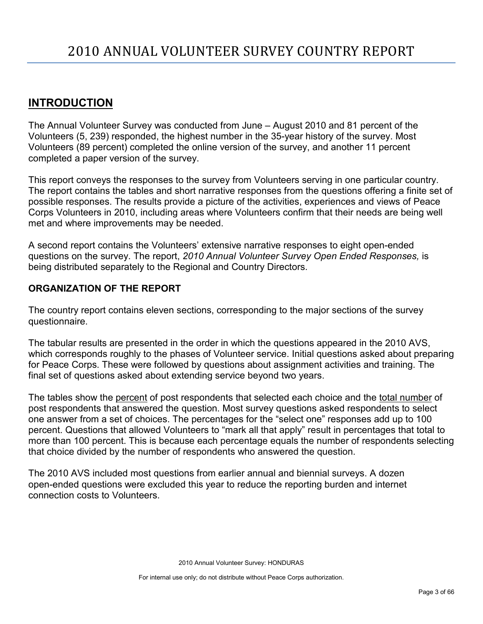# <span id="page-2-0"></span>**INTRODUCTION**

The Annual Volunteer Survey was conducted from June – August 2010 and 81 percent of the Volunteers (5, 239) responded, the highest number in the 35-year history of the survey. Most Volunteers (89 percent) completed the online version of the survey, and another 11 percent completed a paper version of the survey.

This report conveys the responses to the survey from Volunteers serving in one particular country. The report contains the tables and short narrative responses from the questions offering a finite set of possible responses. The results provide a picture of the activities, experiences and views of Peace Corps Volunteers in 2010, including areas where Volunteers confirm that their needs are being well met and where improvements may be needed.

A second report contains the Volunteers' extensive narrative responses to eight open-ended questions on the survey. The report, *2010 Annual Volunteer Survey Open Ended Responses,* is being distributed separately to the Regional and Country Directors.

# **ORGANIZATION OF THE REPORT**

The country report contains eleven sections, corresponding to the major sections of the survey questionnaire.

The tabular results are presented in the order in which the questions appeared in the 2010 AVS, which corresponds roughly to the phases of Volunteer service. Initial questions asked about preparing for Peace Corps. These were followed by questions about assignment activities and training. The final set of questions asked about extending service beyond two years.

The tables show the percent of post respondents that selected each choice and the total number of post respondents that answered the question. Most survey questions asked respondents to select one answer from a set of choices. The percentages for the "select one" responses add up to 100 percent. Questions that allowed Volunteers to "mark all that apply" result in percentages that total to more than 100 percent. This is because each percentage equals the number of respondents selecting that choice divided by the number of respondents who answered the question.

The 2010 AVS included most questions from earlier annual and biennial surveys. A dozen open-ended questions were excluded this year to reduce the reporting burden and internet connection costs to Volunteers.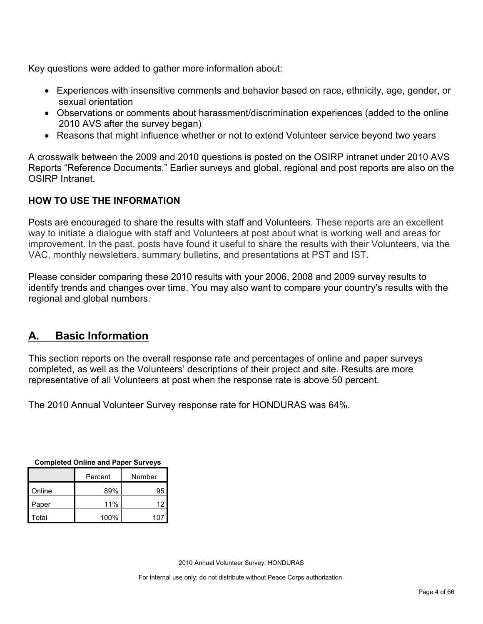Key questions were added to gather more information about:

- Experiences with insensitive comments and behavior based on race, ethnicity, age, gender, or sexual orientation
- Observations or comments about harassment/discrimination experiences (added to the online 2010 AVS after the survey began)
- Reasons that might influence whether or not to extend Volunteer service beyond two years

A crosswalk between the 2009 and 2010 questions is posted on the OSIRP intranet under 2010 AVS Reports "Reference Documents." Earlier surveys and global, regional and post reports are also on the OSIRP Intranet.

# **HOW TO USE THE INFORMATION**

Posts are encouraged to share the results with staff and Volunteers. These reports are an excellent way to initiate a dialogue with staff and Volunteers at post about what is working well and areas for improvement. In the past, posts have found it useful to share the results with their Volunteers, via the VAC, monthly newsletters, summary bulletins, and presentations at PST and IST.

Please consider comparing these 2010 results with your 2006, 2008 and 2009 survey results to identify trends and changes over time. You may also want to compare your country's results with the regional and global numbers.

# <span id="page-3-0"></span>**A. Basic Information**

This section reports on the overall response rate and percentages of online and paper surveys completed, as well as the Volunteers' descriptions of their project and site. Results are more representative of all Volunteers at post when the response rate is above 50 percent.

The 2010 Annual Volunteer Survey response rate for HONDURAS was 64%.

| Completed Online and Paper Surveys |           |     |  |
|------------------------------------|-----------|-----|--|
| Number<br>Percent                  |           |     |  |
| Online                             | 95<br>89% |     |  |
| Paper                              | 11%       | 12  |  |
| Total                              | 100%      | 107 |  |

**Completed Online and Paper Surveys**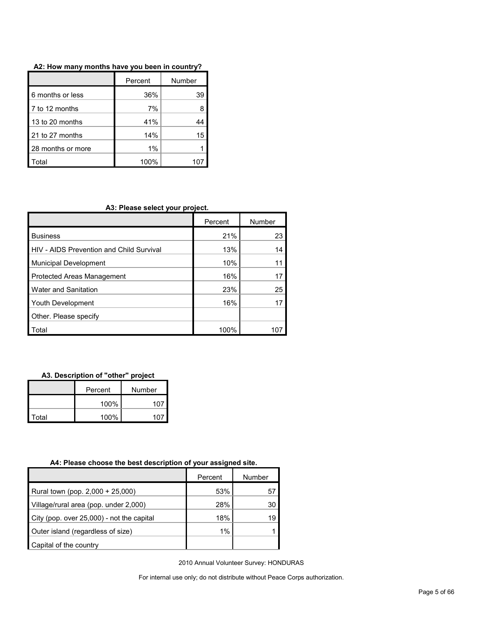|                   | Percent | Number |
|-------------------|---------|--------|
| 6 months or less  | 36%     | 39     |
| 7 to 12 months    | 7%      |        |
| 13 to 20 months   | 41%     |        |
| 21 to 27 months   | 14%     | 15     |
| 28 months or more | 1%      |        |
| `otal             | 100%    |        |

#### **A2: How many months have you been in country?**

#### **A3: Please select your project.**

|                                          | Percent | Number |
|------------------------------------------|---------|--------|
| <b>Business</b>                          | 21%     | 23     |
| HIV - AIDS Prevention and Child Survival | 13%     | 14     |
| <b>Municipal Development</b>             | 10%     |        |
| Protected Areas Management               | 16%     | 17     |
| Water and Sanitation                     | 23%     | 25     |
| Youth Development                        | 16%     |        |
| Other. Please specify                    |         |        |
| Total                                    | 100%    |        |

#### **A3. Description of "other" project**

|       | Percent | Number |  |
|-------|---------|--------|--|
|       | 100%    | 107    |  |
| Total | 100%    | 107    |  |

#### **A4: Please choose the best description of your assigned site.**

|                                           | Percent | Number |
|-------------------------------------------|---------|--------|
| Rural town (pop. 2,000 + 25,000)          | 53%     | 57     |
| Village/rural area (pop. under 2,000)     | 28%     | 30     |
| City (pop. over 25,000) - not the capital | 18%     | 19     |
| Outer island (regardless of size)         | 1%      |        |
| Capital of the country                    |         |        |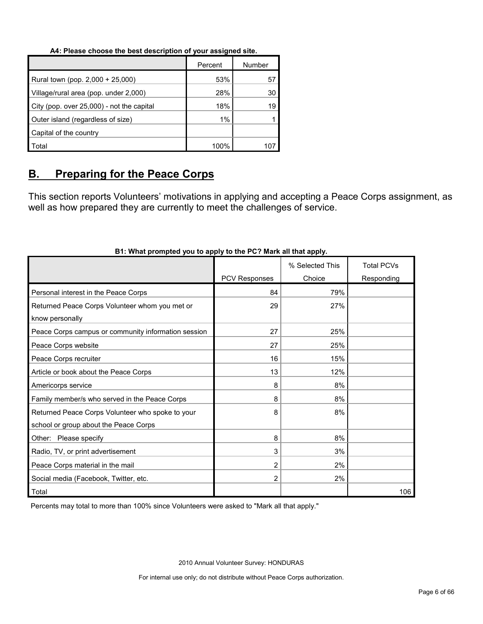#### **A4: Please choose the best description of your assigned site.**

|                                           | Percent | Number |
|-------------------------------------------|---------|--------|
| Rural town (pop. 2,000 + 25,000)          | 53%     | 57     |
| Village/rural area (pop. under 2,000)     | 28%     | 30     |
| City (pop. over 25,000) - not the capital | 18%     | 19     |
| Outer island (regardless of size)         | $1\%$   |        |
| Capital of the country                    |         |        |
| Total                                     | 100%    |        |

# <span id="page-5-0"></span>**B. Preparing for the Peace Corps**

This section reports Volunteers' motivations in applying and accepting a Peace Corps assignment, as well as how prepared they are currently to meet the challenges of service.

|                                                     |                      | % Selected This | <b>Total PCVs</b> |
|-----------------------------------------------------|----------------------|-----------------|-------------------|
|                                                     | <b>PCV Responses</b> | Choice          | Responding        |
| Personal interest in the Peace Corps                | 84                   | 79%             |                   |
| Returned Peace Corps Volunteer whom you met or      | 29                   | 27%             |                   |
| know personally                                     |                      |                 |                   |
| Peace Corps campus or community information session | 27                   | 25%             |                   |
| Peace Corps website                                 | 27                   | 25%             |                   |
| Peace Corps recruiter                               | 16                   | 15%             |                   |
| Article or book about the Peace Corps               | 13                   | 12%             |                   |
| Americorps service                                  | 8                    | 8%              |                   |
| Family member/s who served in the Peace Corps       | 8                    | 8%              |                   |
| Returned Peace Corps Volunteer who spoke to your    | 8                    | 8%              |                   |
| school or group about the Peace Corps               |                      |                 |                   |
| Other: Please specify                               | 8                    | 8%              |                   |
| Radio, TV, or print advertisement                   | 3                    | 3%              |                   |
| Peace Corps material in the mail                    | $\overline{2}$       | 2%              |                   |
| Social media (Facebook, Twitter, etc.               | $\overline{2}$       | 2%              |                   |
| Total                                               |                      |                 | 106               |

### **B1: What prompted you to apply to the PC? Mark all that apply.**

Percents may total to more than 100% since Volunteers were asked to "Mark all that apply."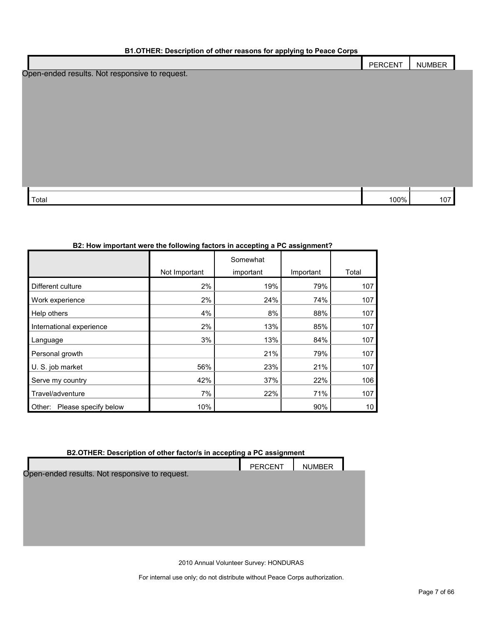#### **B1.OTHER: Description of other reasons for applying to Peace Corps**

| $-$                                            |         |        |
|------------------------------------------------|---------|--------|
|                                                | PERCENT | NUMBER |
| Open-ended results. Not responsive to request. |         |        |
|                                                |         |        |
|                                                |         |        |
|                                                |         |        |
|                                                |         |        |
|                                                |         |        |
|                                                |         |        |
|                                                |         |        |
|                                                |         |        |
|                                                |         |        |

Total 100% 107

#### **B2: How important were the following factors in accepting a PC assignment?**

|                                |               | Somewhat  |           |       |
|--------------------------------|---------------|-----------|-----------|-------|
|                                | Not Important | important | Important | Total |
| Different culture              | 2%            | 19%       | 79%       | 107   |
| Work experience                | 2%            | 24%       | 74%       | 107   |
| Help others                    | 4%            | 8%        | 88%       | 107   |
| International experience       | 2%            | 13%       | 85%       | 107   |
| Language                       | 3%            | 13%       | 84%       | 107   |
| Personal growth                |               | 21%       | 79%       | 107   |
| U. S. job market               | 56%           | 23%       | 21%       | 107   |
| Serve my country               | 42%           | 37%       | 22%       | 106   |
| Travel/adventure               | 7%            | 22%       | 71%       | 107   |
| Please specify below<br>Other: | 10%           |           | 90%       | 10    |

### **B2.OTHER: Description of other factor/s in accepting a PC assignment**

|                                                | <b>PERCENT</b> | <b>NUMBER</b> |  |
|------------------------------------------------|----------------|---------------|--|
| Open-ended results. Not responsive to request. |                |               |  |
|                                                |                |               |  |
|                                                |                |               |  |
|                                                |                |               |  |
|                                                |                |               |  |
|                                                |                |               |  |
|                                                |                |               |  |
|                                                |                |               |  |
| 2010 Annual Volunteer Survey: HONDURAS         |                |               |  |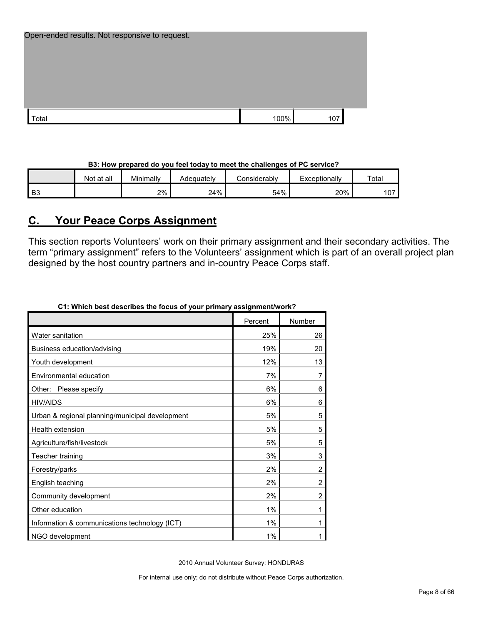| Open-ended results. Not responsive to request. |      |     |  |
|------------------------------------------------|------|-----|--|
|                                                |      |     |  |
|                                                |      |     |  |
|                                                |      |     |  |
| ⊺otal                                          | 100% | 107 |  |

|                | Not at all | Minimally | Adequatelv | onsiderablyٽ | Exceptionally | Total |
|----------------|------------|-----------|------------|--------------|---------------|-------|
| B <sub>3</sub> |            | 2%        | 24%        | 54%          | 20%           | 107   |

# <span id="page-7-0"></span>**C. Your Peace Corps Assignment**

This section reports Volunteers' work on their primary assignment and their secondary activities. The term "primary assignment" refers to the Volunteers' assignment which is part of an overall project plan designed by the host country partners and in-country Peace Corps staff.

| CT. WHICH DESTRESCHIDES THE TOCUS OF YOUR DRIHTMLY ASSIGNMENTWORK? |         |                |
|--------------------------------------------------------------------|---------|----------------|
|                                                                    | Percent | Number         |
| Water sanitation                                                   | 25%     | 26             |
| Business education/advising                                        | 19%     | 20             |
| Youth development                                                  | 12%     | 13             |
| Environmental education                                            | 7%      | 7              |
| Please specify<br>Other:                                           | 6%      | 6              |
| <b>HIV/AIDS</b>                                                    | 6%      | 6              |
| Urban & regional planning/municipal development                    | 5%      | 5              |
| Health extension                                                   | 5%      | 5              |
| Agriculture/fish/livestock                                         | 5%      | 5              |
| Teacher training                                                   | 3%      | 3              |
| Forestry/parks                                                     | 2%      | $\overline{c}$ |
| English teaching                                                   | 2%      | $\overline{c}$ |
| Community development                                              | 2%      | 2              |
| Other education                                                    | 1%      | 1              |
| Information & communications technology (ICT)                      | 1%      | 1              |
| NGO development                                                    | 1%      | 1              |

# **C1: Which best describes the focus of your primary assignment/work?**

2010 Annual Volunteer Survey: HONDURAS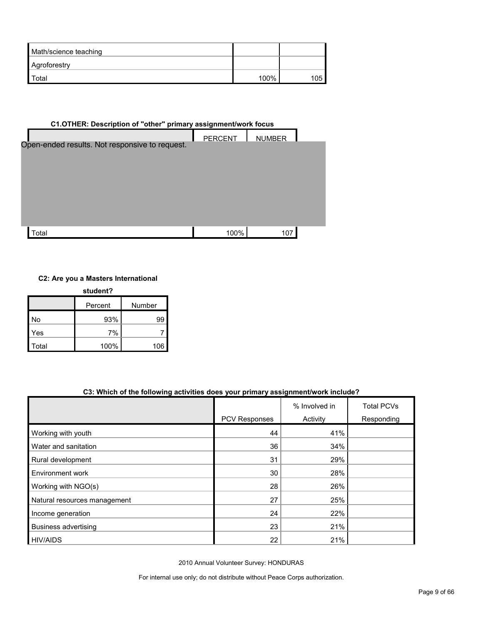| Math/science teaching |      |     |
|-----------------------|------|-----|
| Agroforestry          |      |     |
| I Total               | 100% | 105 |

| C1.OTHER: Description of "other" primary assignment/work focus |                |               |  |  |  |  |  |  |
|----------------------------------------------------------------|----------------|---------------|--|--|--|--|--|--|
| Open-ended results. Not responsive to request.                 | <b>PERCENT</b> | <b>NUMBER</b> |  |  |  |  |  |  |
| Total                                                          | 100%           | 107           |  |  |  |  |  |  |

### **C2: Are you a Masters International**

| student? |         |        |  |  |  |
|----------|---------|--------|--|--|--|
|          | Percent | Number |  |  |  |
| No       | 93%     | 99     |  |  |  |
| Yes      | 7%      |        |  |  |  |
| Total    | 100%    | 106    |  |  |  |

#### **C3: Which of the following activities does your primary assignment/work include?**

|                              |               | % Involved in | <b>Total PCVs</b> |
|------------------------------|---------------|---------------|-------------------|
|                              | PCV Responses | Activity      | Responding        |
| Working with youth           | 44            | 41%           |                   |
| Water and sanitation         | 36            | 34%           |                   |
| Rural development            | 31            | 29%           |                   |
| Environment work             | 30            | 28%           |                   |
| Working with NGO(s)          | 28            | 26%           |                   |
| Natural resources management | 27            | 25%           |                   |
| Income generation            | 24            | 22%           |                   |
| Business advertising         | 23            | 21%           |                   |
| <b>HIV/AIDS</b>              | 22            | 21%           |                   |

2010 Annual Volunteer Survey: HONDURAS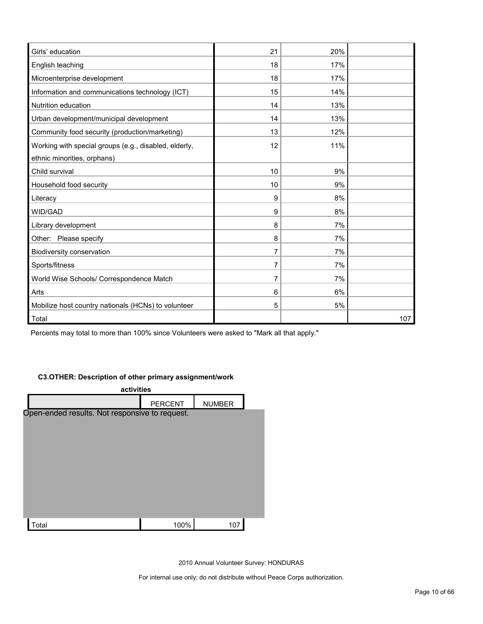| Girls' education                                      | 21 | 20% |     |
|-------------------------------------------------------|----|-----|-----|
| English teaching                                      | 18 | 17% |     |
| Microenterprise development                           | 18 | 17% |     |
| Information and communications technology (ICT)       | 15 | 14% |     |
| Nutrition education                                   | 14 | 13% |     |
| Urban development/municipal development               | 14 | 13% |     |
| Community food security (production/marketing)        | 13 | 12% |     |
| Working with special groups (e.g., disabled, elderly, | 12 | 11% |     |
| ethnic minorities, orphans)                           |    |     |     |
| Child survival                                        | 10 | 9%  |     |
| Household food security                               | 10 | 9%  |     |
| Literacy                                              | 9  | 8%  |     |
| WID/GAD                                               | 9  | 8%  |     |
| Library development                                   | 8  | 7%  |     |
| Other: Please specify                                 | 8  | 7%  |     |
| Biodiversity conservation                             | 7  | 7%  |     |
| Sports/fitness                                        | 7  | 7%  |     |
| World Wise Schools/ Correspondence Match              | 7  | 7%  |     |
| Arts                                                  | 6  | 6%  |     |
| Mobilize host country nationals (HCNs) to volunteer   | 5  | 5%  |     |
| Total                                                 |    |     | 107 |

Percents may total to more than 100% since Volunteers were asked to "Mark all that apply."

#### **C3.OTHER: Description of other primary assignment/work**

| activities                                     |                |               |  |  |  |  |
|------------------------------------------------|----------------|---------------|--|--|--|--|
|                                                | <b>PERCENT</b> | <b>NUMBER</b> |  |  |  |  |
| Open-ended results. Not responsive to request. |                |               |  |  |  |  |
|                                                |                |               |  |  |  |  |
|                                                |                |               |  |  |  |  |
|                                                |                |               |  |  |  |  |
|                                                |                |               |  |  |  |  |
|                                                |                |               |  |  |  |  |
|                                                |                |               |  |  |  |  |
|                                                |                |               |  |  |  |  |
|                                                |                |               |  |  |  |  |
|                                                |                |               |  |  |  |  |
| Total                                          | 100%           | 107           |  |  |  |  |
|                                                |                |               |  |  |  |  |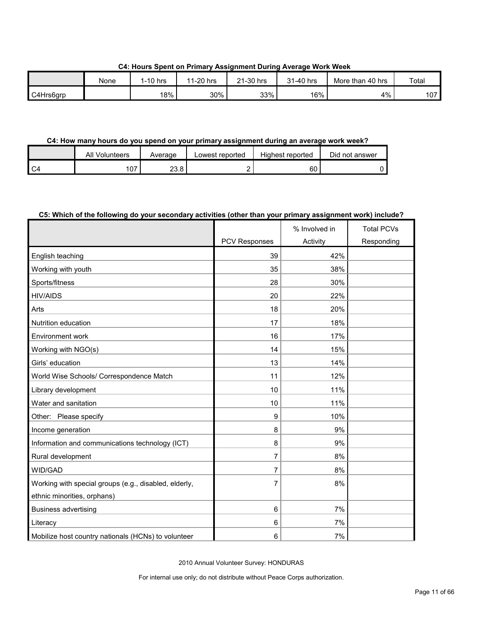**C4: Hours Spent on Primary Assignment During Average Work Week**

|           | None | 1-10 hrs | $1-20$ hrs<br>-44 | 21-30 hrs | $-40$ hrs<br>ኅ 4 | More than 40 hrs | Total |
|-----------|------|----------|-------------------|-----------|------------------|------------------|-------|
| C4Hrs6grp |      | 18%      | 30%               | 33%       | 16%              | 4%               | 107   |

#### **C4: How many hours do you spend on your primary assignment during an average work week?**

| All Volunteers | Average | Lowest reported | Highest reported | Did not answer |
|----------------|---------|-----------------|------------------|----------------|
| 107            | 23.8    | -               | 60               |                |

#### **C5: Which of the following do your secondary activities (other than your primary assignment work) include?**

|                                                       |               | % Involved in   | <b>Total PCVs</b> |
|-------------------------------------------------------|---------------|-----------------|-------------------|
|                                                       | PCV Responses | <b>Activity</b> | Responding        |
| English teaching                                      | 39            | 42%             |                   |
| Working with youth                                    | 35            | 38%             |                   |
| Sports/fitness                                        | 28            | 30%             |                   |
| <b>HIV/AIDS</b>                                       | 20            | 22%             |                   |
| Arts                                                  | 18            | 20%             |                   |
| Nutrition education                                   | 17            | 18%             |                   |
| <b>Environment work</b>                               | 16            | 17%             |                   |
| Working with NGO(s)                                   | 14            | 15%             |                   |
| Girls' education                                      | 13            | 14%             |                   |
| World Wise Schools/ Correspondence Match              | 11            | 12%             |                   |
| Library development                                   | 10            | 11%             |                   |
| Water and sanitation                                  | 10            | 11%             |                   |
| Other: Please specify                                 | 9             | 10%             |                   |
| Income generation                                     | 8             | 9%              |                   |
| Information and communications technology (ICT)       | 8             | 9%              |                   |
| Rural development                                     | 7             | 8%              |                   |
| WID/GAD                                               | 7             | 8%              |                   |
| Working with special groups (e.g., disabled, elderly, | 7             | 8%              |                   |
| ethnic minorities, orphans)                           |               |                 |                   |
| <b>Business advertising</b>                           | 6             | 7%              |                   |
| Literacy                                              | 6             | 7%              |                   |
| Mobilize host country nationals (HCNs) to volunteer   | 6             | 7%              |                   |

2010 Annual Volunteer Survey: HONDURAS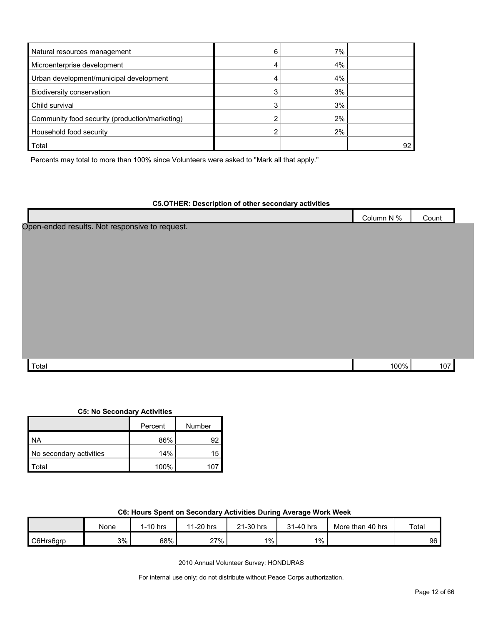| Natural resources management                   | 6 | 7% |  |
|------------------------------------------------|---|----|--|
| Microenterprise development                    |   | 4% |  |
| Urban development/municipal development        |   | 4% |  |
| Biodiversity conservation                      |   | 3% |  |
| Child survival                                 |   | 3% |  |
| Community food security (production/marketing) |   | 2% |  |
| Household food security                        |   | 2% |  |
| Total                                          |   |    |  |

Percents may total to more than 100% since Volunteers were asked to "Mark all that apply."

| <b>C5.OTHER: Description of other secondary activities</b> |            |       |
|------------------------------------------------------------|------------|-------|
|                                                            | Column N % | Count |
| Open-ended results. Not responsive to request.             |            |       |
|                                                            |            |       |
|                                                            |            |       |
|                                                            |            |       |
|                                                            |            |       |
|                                                            |            |       |
|                                                            |            |       |
|                                                            |            |       |
|                                                            |            |       |
|                                                            |            |       |
|                                                            |            |       |
| Total                                                      | 100%       | 107   |

|  | <b>C5: No Secondary Activities</b> |  |
|--|------------------------------------|--|
|  |                                    |  |
|  |                                    |  |

|                         | Percent | Number |
|-------------------------|---------|--------|
| l NA                    | 86%     | 92     |
| No secondary activities | 14%     | 15     |
| `otal                   | 100%    | 10.    |

| C6: Hours Spent on Secondary Activities During Average Work Week |
|------------------------------------------------------------------|
|------------------------------------------------------------------|

|           | None | -10 hrs | $1-20$ hrs<br>11 | 21-30 hrs | 31-40 hrs | More than 40 hrs | Total |
|-----------|------|---------|------------------|-----------|-----------|------------------|-------|
| C6Hrs6grp | 3%   | 68%     | 27%              | $1\%$     | $1\%$     |                  | 96    |

2010 Annual Volunteer Survey: HONDURAS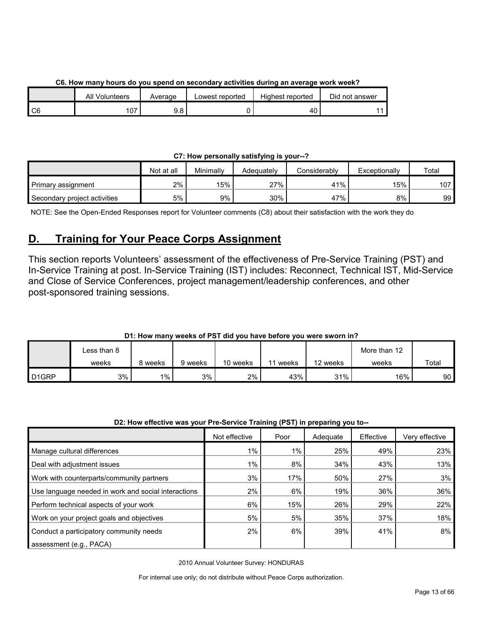|                | All Volunteers | Average     | Lowest reported | Highest reported | Did not answer |
|----------------|----------------|-------------|-----------------|------------------|----------------|
| C <sub>6</sub> | ۰υ.            | റ റ<br>ษ. 6 |                 | 40               |                |

**C6. How many hours do you spend on secondary activities during an average work week?**

### **C7: How personally satisfying is your--?**

|                              | Not at all | Minimallv | Adeauatelv | Considerably | Exceptionally | Total            |
|------------------------------|------------|-----------|------------|--------------|---------------|------------------|
| Primary assignment           | 2%         | 15%       | 27%        | 41%          | 15%           | 107 <sub>l</sub> |
| Secondary project activities | 5%         | 9%        | 30%        | 47%          | 8%            | 99               |

NOTE: See the Open-Ended Responses report for Volunteer comments (C8) about their satisfaction with the work they do

# <span id="page-12-0"></span>**D. Training for Your Peace Corps Assignment**

This section reports Volunteers' assessment of the effectiveness of Pre-Service Training (PST) and In-Service Training at post. In-Service Training (IST) includes: Reconnect, Technical IST, Mid-Service and Close of Service Conferences, project management/leadership conferences, and other post-sponsored training sessions.

# **D1: How many weeks of PST did you have before you were sworn in?**

|                   | ∟ess than 8 |         |         |          |       |          | More than 12 |       |
|-------------------|-------------|---------|---------|----------|-------|----------|--------------|-------|
|                   | weeks       | 8 weeks | 9 weeks | 10 weeks | weeks | 12 weeks | weeks        | Total |
| D <sub>1GRP</sub> | 3%          | $1\%$   | 3%      | 2%       | 43%   | 31%      | 16%          | 90    |

#### **D2: How effective was your Pre-Service Training (PST) in preparing you to--**

|                                                     | Not effective | Poor  | Adequate | Effective | Verv effective |
|-----------------------------------------------------|---------------|-------|----------|-----------|----------------|
| Manage cultural differences                         | $1\%$         | $1\%$ | 25%      | 49%       | 23%            |
| Deal with adjustment issues                         | $1\%$         | 8%    | 34%      | 43%       | 13%            |
| Work with counterparts/community partners           | 3%            | 17%   | 50%      | 27%       | 3%             |
| Use language needed in work and social interactions | 2%            | 6%    | 19%      | 36%       | 36%            |
| Perform technical aspects of your work              | 6%            | 15%   | 26%      | 29%       | 22%            |
| Work on your project goals and objectives           | 5%            | 5%    | 35%      | 37%       | 18%            |
| Conduct a participatory community needs             | 2%            | 6%    | 39%      | 41%       | 8%             |
| assessment (e.g., PACA)                             |               |       |          |           |                |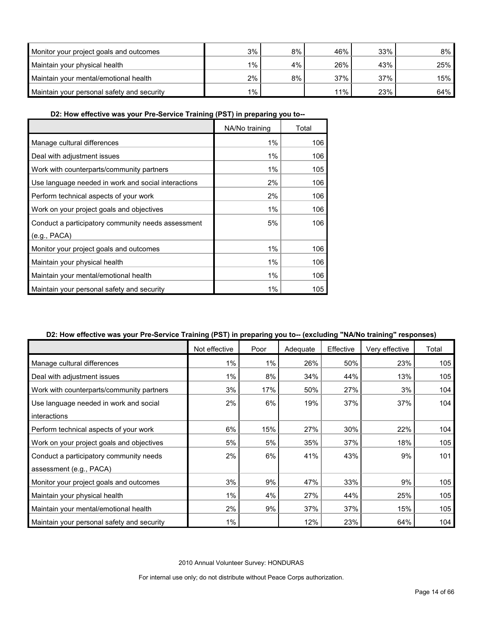| Monitor your project goals and outcomes    | 3%      | $8\%$ | 46% | 33% | 8%  |
|--------------------------------------------|---------|-------|-----|-----|-----|
| Maintain your physical health              | $1\%$ . | 4%    | 26% | 43% | 25% |
| Maintain your mental/emotional health      | 2%      | 8%    | 37% | 37% | 15% |
| Maintain your personal safety and security | $1\%$ . |       | 11% | 23% | 64% |

**D2: How effective was your Pre-Service Training (PST) in preparing you to--**

|                                                     | NA/No training | Total |
|-----------------------------------------------------|----------------|-------|
| Manage cultural differences                         | 1%             | 106   |
| Deal with adjustment issues                         | 1%             | 106   |
| Work with counterparts/community partners           | 1%             | 105   |
| Use language needed in work and social interactions | 2%             | 106   |
| Perform technical aspects of your work              | 2%             | 106   |
| Work on your project goals and objectives           | 1%             | 106   |
| Conduct a participatory community needs assessment  | 5%             | 106   |
| (e.g., PACA)                                        |                |       |
| Monitor your project goals and outcomes             | 1%             | 106   |
| Maintain your physical health                       | 1%             | 106   |
| Maintain your mental/emotional health               | 1%             | 106   |
| Maintain your personal safety and security          | 1%             | 105   |

### **D2: How effective was your Pre-Service Training (PST) in preparing you to-- (excluding "NA/No training" responses)**

|                                            | Not effective | Poor  | Adequate | Effective | Very effective | Total |
|--------------------------------------------|---------------|-------|----------|-----------|----------------|-------|
| Manage cultural differences                | $1\%$         | $1\%$ | 26%      | 50%       | 23%            | 105   |
| Deal with adjustment issues                | $1\%$         | 8%    | 34%      | 44%       | 13%            | 105   |
| Work with counterparts/community partners  | 3%            | 17%   | 50%      | 27%       | 3%             | 104   |
| Use language needed in work and social     | 2%            | 6%    | 19%      | 37%       | 37%            | 104   |
| interactions                               |               |       |          |           |                |       |
| Perform technical aspects of your work     | 6%            | 15%   | 27%      | 30%       | 22%            | 104   |
| Work on your project goals and objectives  | 5%            | 5%    | 35%      | 37%       | 18%            | 105   |
| Conduct a participatory community needs    | 2%            | 6%    | 41%      | 43%       | 9%             | 101   |
| assessment (e.g., PACA)                    |               |       |          |           |                |       |
| Monitor your project goals and outcomes    | 3%            | 9%    | 47%      | 33%       | 9%             | 105   |
| Maintain your physical health              | $1\%$         | 4%    | 27%      | 44%       | 25%            | 105   |
| Maintain your mental/emotional health      | 2%            | 9%    | 37%      | 37%       | 15%            | 105   |
| Maintain your personal safety and security | 1%            |       | 12%      | 23%       | 64%            | 104   |

2010 Annual Volunteer Survey: HONDURAS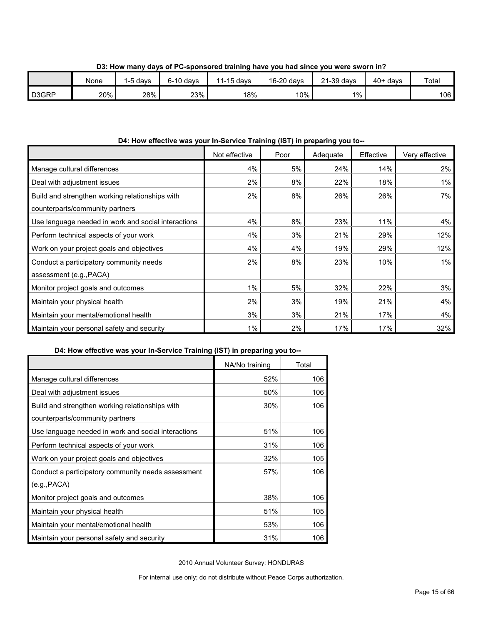|       | None | -5 davs | $6-10$ davs | $1-15$ days<br>$\overline{44}$ | 16-20 days | 21-39 days | $40+ days$ | Total |
|-------|------|---------|-------------|--------------------------------|------------|------------|------------|-------|
| D3GRP | 20%  | 28%     | 23%         | 18%                            | 10%        | $1\%$ .    |            | 106   |

**D3: How many days of PC-sponsored training have you had since you were sworn in?**

# **D4: How effective was your In-Service Training (IST) in preparing you to--**

|                                                     | Not effective | Poor | Adequate | Effective | Very effective |
|-----------------------------------------------------|---------------|------|----------|-----------|----------------|
| Manage cultural differences                         | 4%            | 5%   | 24%      | 14%       | 2%             |
| Deal with adjustment issues                         | 2%            | 8%   | 22%      | 18%       | $1\%$          |
| Build and strengthen working relationships with     | 2%            | 8%   | 26%      | 26%       | 7%             |
| counterparts/community partners                     |               |      |          |           |                |
| Use language needed in work and social interactions | 4%            | 8%   | 23%      | 11%       | 4%             |
| Perform technical aspects of your work              | 4%            | 3%   | 21%      | 29%       | 12%            |
| Work on your project goals and objectives           | 4%            | 4%   | 19%      | 29%       | 12%            |
| Conduct a participatory community needs             | 2%            | 8%   | 23%      | 10%       | $1\%$          |
| assessment (e.g., PACA)                             |               |      |          |           |                |
| Monitor project goals and outcomes                  | $1\%$         | 5%   | 32%      | 22%       | 3%             |
| Maintain your physical health                       | 2%            | 3%   | 19%      | 21%       | 4%             |
| Maintain your mental/emotional health               | 3%            | 3%   | 21%      | 17%       | 4%             |
| Maintain your personal safety and security          | 1%            | 2%   | 17%      | 17%       | 32%            |

### **D4: How effective was your In-Service Training (IST) in preparing you to--**

|                                                     | NA/No training | Total |
|-----------------------------------------------------|----------------|-------|
| Manage cultural differences                         | 52%            | 106   |
| Deal with adjustment issues                         | 50%            | 106   |
| Build and strengthen working relationships with     | 30%            | 106   |
| counterparts/community partners                     |                |       |
| Use language needed in work and social interactions | 51%            | 106   |
| Perform technical aspects of your work              | 31%            | 106   |
| Work on your project goals and objectives           | 32%            | 105   |
| Conduct a participatory community needs assessment  | 57%            | 106   |
| (e.g., PACA)                                        |                |       |
| Monitor project goals and outcomes                  | 38%            | 106   |
| Maintain your physical health                       | 51%            | 105   |
| Maintain your mental/emotional health               | 53%            | 106   |
| Maintain your personal safety and security          | 31%            | 106   |

2010 Annual Volunteer Survey: HONDURAS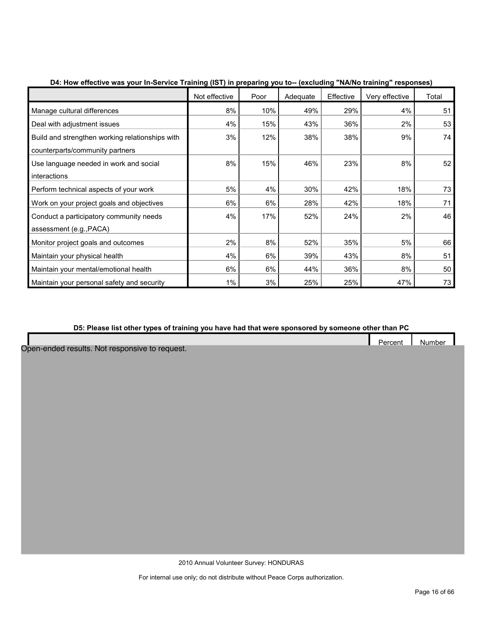|                                                 | Not effective | Poor | Adequate | Effective | Very effective | Total |
|-------------------------------------------------|---------------|------|----------|-----------|----------------|-------|
| Manage cultural differences                     | 8%            | 10%  | 49%      | 29%       | 4%             | 51    |
| Deal with adjustment issues                     | 4%            | 15%  | 43%      | 36%       | 2%             | 53    |
| Build and strengthen working relationships with | 3%            | 12%  | 38%      | 38%       | 9%             | 74    |
| counterparts/community partners                 |               |      |          |           |                |       |
| Use language needed in work and social          | 8%            | 15%  | 46%      | 23%       | 8%             | 52    |
| interactions                                    |               |      |          |           |                |       |
| Perform technical aspects of your work          | 5%            | 4%   | 30%      | 42%       | 18%            | 73    |
| Work on your project goals and objectives       | 6%            | 6%   | 28%      | 42%       | 18%            | 71    |
| Conduct a participatory community needs         | 4%            | 17%  | 52%      | 24%       | 2%             | 46    |
| assessment (e.g., PACA)                         |               |      |          |           |                |       |
| Monitor project goals and outcomes              | 2%            | 8%   | 52%      | 35%       | 5%             | 66    |
| Maintain your physical health                   | 4%            | 6%   | 39%      | 43%       | 8%             | 51    |
| Maintain your mental/emotional health           | 6%            | 6%   | 44%      | 36%       | 8%             | 50    |
| Maintain your personal safety and security      | 1%            | 3%   | 25%      | 25%       | 47%            | 73    |

### **D4: How effective was your In-Service Training (IST) in preparing you to-- (excluding "NA/No training" responses)**

#### **D5: Please list other types of training you have had that were sponsored by someone other than PC**

|                                                | Percent | Number |  |
|------------------------------------------------|---------|--------|--|
| Open-ended results. Not responsive to request. |         |        |  |
|                                                |         |        |  |
|                                                |         |        |  |
|                                                |         |        |  |
|                                                |         |        |  |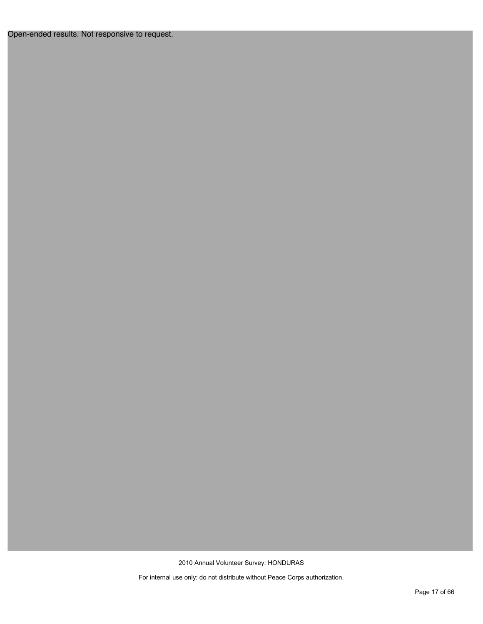Open-ended results. Not responsive to request.

2010 Annual Volunteer Survey: HONDURAS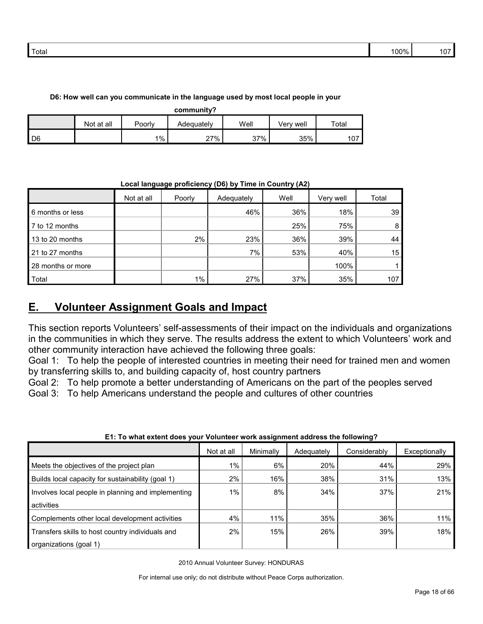| D6: How well can you communicate in the language used by most local people in your |  |
|------------------------------------------------------------------------------------|--|
|------------------------------------------------------------------------------------|--|

**community?**

| -------------    |            |        |            |      |               |                |  |  |  |
|------------------|------------|--------|------------|------|---------------|----------------|--|--|--|
|                  | Not at all | Poorly | Adequatelv | Well | ∵well<br>√erv | Total          |  |  |  |
| $\overline{)$ D6 |            | $1\%$  | $27\%$     | 37%  | 35%           | $\sim$<br>ו שו |  |  |  |

**Local language proficiency (D6) by Time in Country (A2)**

|                   | Not at all | Poorly | Adequately | Well | Very well | Total |
|-------------------|------------|--------|------------|------|-----------|-------|
| 6 months or less  |            |        | 46%        | 36%  | 18%       | 39    |
| 7 to 12 months    |            |        |            | 25%  | 75%       | 8     |
| 13 to 20 months   |            | 2%     | 23%        | 36%  | 39%       | 44    |
| 21 to 27 months   |            |        | 7%         | 53%  | 40%       | 15    |
| 28 months or more |            |        |            |      | 100%      |       |
| Total             |            | $1\%$  | 27%        | 37%  | 35%       | 107   |

# <span id="page-17-0"></span>**E. Volunteer Assignment Goals and Impact**

This section reports Volunteers' self-assessments of their impact on the individuals and organizations in the communities in which they serve. The results address the extent to which Volunteers' work and other community interaction have achieved the following three goals:

Goal 1: To help the people of interested countries in meeting their need for trained men and women by transferring skills to, and building capacity of, host country partners

Goal 2: To help promote a better understanding of Americans on the part of the peoples served Goal 3: To help Americans understand the people and cultures of other countries

| LI. TO WIIQI GAIGHI QOGS YOUL YOIUHIGGI WOLK QSSIGHIHGHI QUULGSS IHG TOHOWIHG I |            |           |            |              |               |  |  |  |
|---------------------------------------------------------------------------------|------------|-----------|------------|--------------|---------------|--|--|--|
|                                                                                 | Not at all | Minimally | Adequately | Considerably | Exceptionally |  |  |  |
| Meets the objectives of the project plan                                        | 1%         | 6%        | 20%        | 44%          | 29%           |  |  |  |
| Builds local capacity for sustainability (goal 1)                               | 2%         | 16%       | 38%        | 31%          | 13%           |  |  |  |
| Involves local people in planning and implementing                              | $1\%$      | 8%        | 34%        | 37%          | 21%           |  |  |  |
| activities                                                                      |            |           |            |              |               |  |  |  |
| Complements other local development activities                                  | 4%         | 11%       | 35%        | 36%          | 11%           |  |  |  |
| Transfers skills to host country individuals and                                | 2%         | 15%       | 26%        | 39%          | 18%           |  |  |  |
| organizations (goal 1)                                                          |            |           |            |              |               |  |  |  |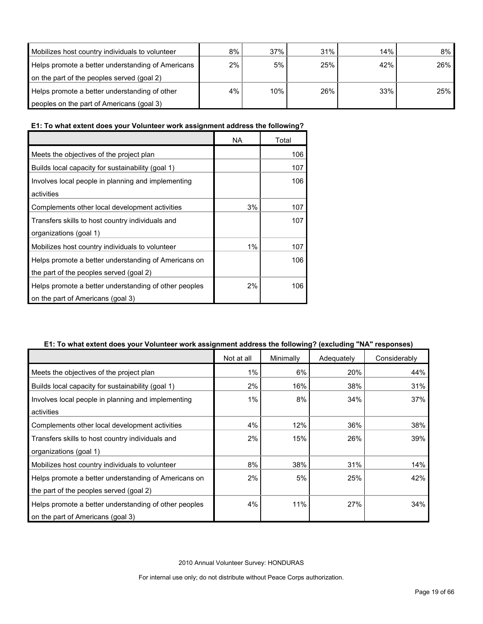| Mobilizes host country individuals to volunteer   | 8% | 37% | 31% | 14% | 8%  |
|---------------------------------------------------|----|-----|-----|-----|-----|
| Helps promote a better understanding of Americans | 2% | 5%  | 25% | 42% | 26% |
| on the part of the peoples served (goal 2)        |    |     |     |     |     |
| Helps promote a better understanding of other     | 4% | 10% | 26% | 33% | 25% |
| peoples on the part of Americans (goal 3)         |    |     |     |     |     |

# **E1: To what extent does your Volunteer work assignment address the following?**

|                                                       | NA | Total |
|-------------------------------------------------------|----|-------|
| Meets the objectives of the project plan              |    | 106   |
| Builds local capacity for sustainability (goal 1)     |    | 107   |
| Involves local people in planning and implementing    |    | 106   |
| activities                                            |    |       |
| Complements other local development activities        | 3% | 107   |
| Transfers skills to host country individuals and      |    | 107   |
| organizations (goal 1)                                |    |       |
| Mobilizes host country individuals to volunteer       | 1% | 107   |
| Helps promote a better understanding of Americans on  |    | 106   |
| the part of the peoples served (goal 2)               |    |       |
| Helps promote a better understanding of other peoples | 2% | 106   |
| on the part of Americans (goal 3)                     |    |       |

#### **E1: To what extent does your Volunteer work assignment address the following? (excluding "NA" responses)**

|                                                       | Not at all | Minimally | Adequately | Considerably |
|-------------------------------------------------------|------------|-----------|------------|--------------|
| Meets the objectives of the project plan              | 1%         | 6%        | 20%        | 44%          |
| Builds local capacity for sustainability (goal 1)     | 2%         | 16%       | 38%        | 31%          |
| Involves local people in planning and implementing    | $1\%$      | 8%        | 34%        | 37%          |
| activities                                            |            |           |            |              |
| Complements other local development activities        | 4%         | 12%       | 36%        | 38%          |
| Transfers skills to host country individuals and      | 2%         | 15%       | 26%        | 39%          |
| organizations (goal 1)                                |            |           |            |              |
| Mobilizes host country individuals to volunteer       | 8%         | 38%       | 31%        | 14%          |
| Helps promote a better understanding of Americans on  | 2%         | 5%        | 25%        | 42%          |
| the part of the peoples served (goal 2)               |            |           |            |              |
| Helps promote a better understanding of other peoples | 4%         | 11%       | 27%        | 34%          |
| on the part of Americans (goal 3)                     |            |           |            |              |

2010 Annual Volunteer Survey: HONDURAS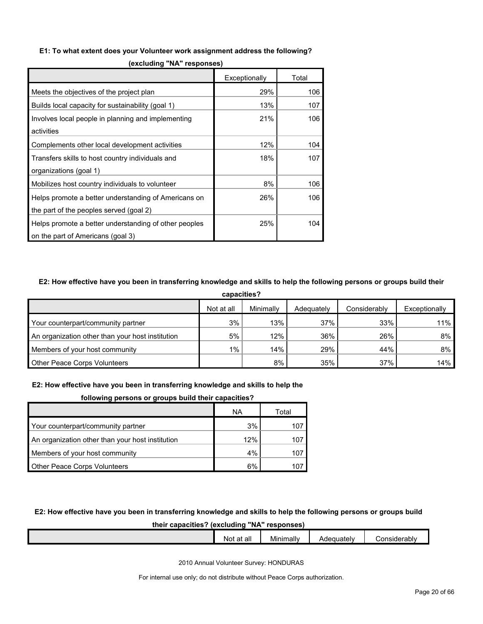#### **E1: To what extent does your Volunteer work assignment address the following?**

|                                                       | Exceptionally | Total |
|-------------------------------------------------------|---------------|-------|
| Meets the objectives of the project plan              | 29%           | 106   |
| Builds local capacity for sustainability (goal 1)     | 13%           | 107   |
| Involves local people in planning and implementing    | 21%           | 106   |
| activities                                            |               |       |
| Complements other local development activities        | 12%           | 104   |
| Transfers skills to host country individuals and      | 18%           | 107   |
| organizations (goal 1)                                |               |       |
| Mobilizes host country individuals to volunteer       | 8%            | 106   |
| Helps promote a better understanding of Americans on  | 26%           | 106   |
| the part of the peoples served (goal 2)               |               |       |
| Helps promote a better understanding of other peoples | 25%           | 104   |
| on the part of Americans (goal 3)                     |               |       |

**(excluding "NA" responses)**

#### **E2: How effective have you been in transferring knowledge and skills to help the following persons or groups build their**

| capacities?                                      |            |           |            |              |               |  |  |
|--------------------------------------------------|------------|-----------|------------|--------------|---------------|--|--|
|                                                  | Not at all | Minimally | Adequately | Considerably | Exceptionally |  |  |
| Your counterpart/community partner               | 3%         | 13%       | 37%        | 33%          | 11%           |  |  |
| An organization other than your host institution | 5%         | 12%       | 36%        | 26%          | 8%            |  |  |
| Members of your host community                   | $1\%$      | 14%       | 29%        | 44%          | 8%            |  |  |
| <b>Other Peace Corps Volunteers</b>              |            | 8%        | 35%        | 37%          | 14%           |  |  |

#### **E2: How effective have you been in transferring knowledge and skills to help the**

|  | following persons or groups build their capacities? |
|--|-----------------------------------------------------|
|  |                                                     |
|  |                                                     |

|                                                  | ΝA  | Total |
|--------------------------------------------------|-----|-------|
| Your counterpart/community partner               | 3%  |       |
| An organization other than your host institution | 12% | 107   |
| Members of your host community                   | 4%  | 107   |
| <b>Other Peace Corps Volunteers</b>              | 6%  |       |

#### **E2: How effective have you been in transferring knowledge and skills to help the following persons or groups build**

#### **their capacities? (excluding "NA" responses)**

|  | $\cdot$ .<br>at all<br>Not | Minimally | Adequately | Considerably |
|--|----------------------------|-----------|------------|--------------|
|  |                            |           |            |              |
|  |                            |           |            |              |

2010 Annual Volunteer Survey: HONDURAS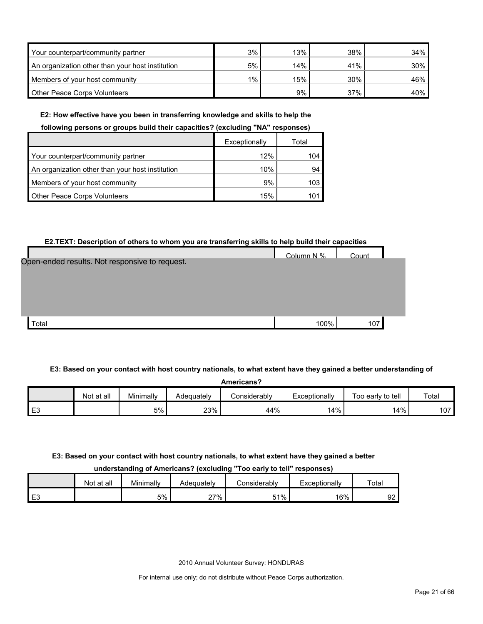| Your counterpart/community partner               | 3% | 13% | 38% | 34%    |
|--------------------------------------------------|----|-----|-----|--------|
| An organization other than your host institution | 5% | 14% | 41% | $30\%$ |
| Members of your host community                   | 1% | 15% | 30% | 46%    |
| <b>Other Peace Corps Volunteers</b>              |    | 9%  | 37% | 40%    |

#### **E2: How effective have you been in transferring knowledge and skills to help the**

#### **following persons or groups build their capacities? (excluding "NA" responses)**

|                                                  | Exceptionally | Total |
|--------------------------------------------------|---------------|-------|
| Your counterpart/community partner               | 12%           | 104   |
| An organization other than your host institution | 10%           | 94    |
| Members of your host community                   | 9%            | 103   |
| Other Peace Corps Volunteers                     | 15%           | 10′   |

#### **E2.TEXT: Description of others to whom you are transferring skills to help build their capacities**

|                                                | Column N % | Count |
|------------------------------------------------|------------|-------|
| Open-ended results. Not responsive to request. |            |       |
|                                                |            |       |
|                                                |            |       |
|                                                |            |       |
|                                                |            |       |
|                                                |            |       |
| Total                                          | 100%       |       |
|                                                |            | 107   |

**E3: Based on your contact with host country nationals, to what extent have they gained a better understanding of** 

| Americans? |  |
|------------|--|

|                | <b>Not</b><br>at all | Minimally | Adequately | Considerabl∨ | Exceptionally | Too early to tell | Total        |
|----------------|----------------------|-----------|------------|--------------|---------------|-------------------|--------------|
| E <sub>3</sub> |                      | 5%        | 23%        | 44%          | 14%           | 14%               | $\sim$<br>ΊΨ |

#### **E3: Based on your contact with host country nationals, to what extent have they gained a better**

**understanding of Americans? (excluding "Too early to tell" responses)**

|         | Not at all | Minimally | Adeauatelv | considerablv | Exceptionally | Total    |
|---------|------------|-----------|------------|--------------|---------------|----------|
| F۹<br>└ |            | 5%        | 27%        | 51%<br>ىن.   | 16%           | nn<br>92 |

2010 Annual Volunteer Survey: HONDURAS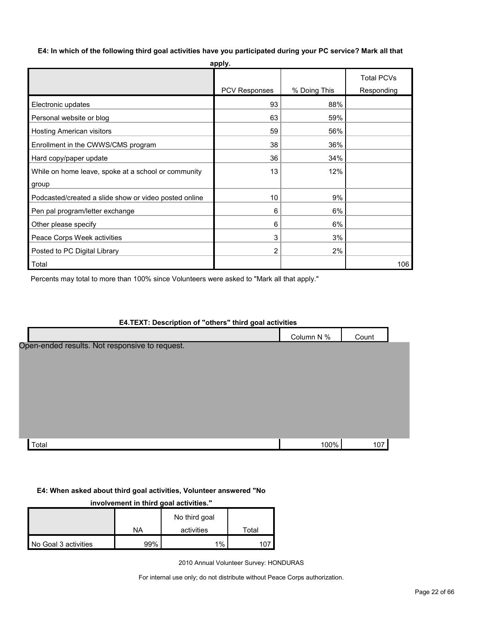**E4: In which of the following third goal activities have you participated during your PC service? Mark all that apply.**

|                                                       | appıy.        |              |                   |
|-------------------------------------------------------|---------------|--------------|-------------------|
|                                                       |               |              | <b>Total PCVs</b> |
|                                                       | PCV Responses | % Doing This | Responding        |
| Electronic updates                                    | 93            | 88%          |                   |
| Personal website or blog                              | 63            | 59%          |                   |
| <b>Hosting American visitors</b>                      | 59            | 56%          |                   |
| Enrollment in the CWWS/CMS program                    | 38            | 36%          |                   |
| Hard copy/paper update                                | 36            | 34%          |                   |
| While on home leave, spoke at a school or community   | 13            | 12%          |                   |
| group                                                 |               |              |                   |
| Podcasted/created a slide show or video posted online | 10            | 9%           |                   |
| Pen pal program/letter exchange                       | 6             | 6%           |                   |
| Other please specify                                  | 6             | 6%           |                   |
| Peace Corps Week activities                           | 3             | 3%           |                   |
| Posted to PC Digital Library                          | 2             | 2%           |                   |
| Total                                                 |               |              | 106               |

Percents may total to more than 100% since Volunteers were asked to "Mark all that apply."

# **E4.TEXT: Description of "others" third goal activities** Column N % Count Open-ended results. Not responsive to request.

Total 100% 107

#### **E4: When asked about third goal activities, Volunteer answered "No**

**involvement in third goal activities."** 

|                      |     | No third goal |       |
|----------------------|-----|---------------|-------|
|                      | NA  | activities    | Total |
| No Goal 3 activities | 99% | 1%            |       |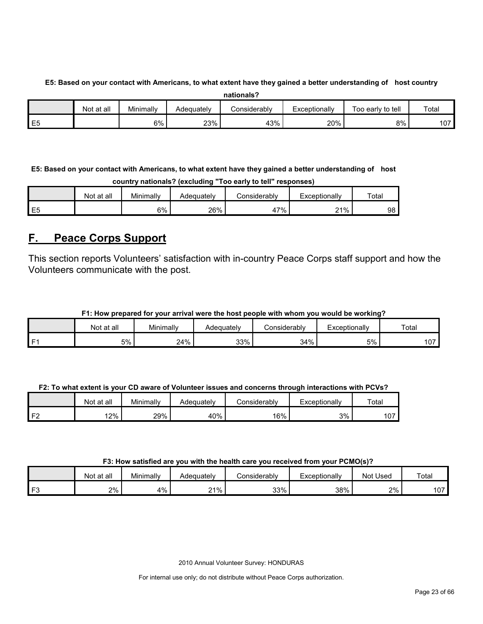# **E5: Based on your contact with Americans, to what extent have they gained a better understanding of host country**

| nationals? |
|------------|
|------------|

|          | Not at all | Minimally<br>$\sim$ $\sim$ $\sim$ | Adequatelv | Considerabl∨ | Exceptionally | Too early to tell | Total |
|----------|------------|-----------------------------------|------------|--------------|---------------|-------------------|-------|
| 口に<br>∟∪ |            | 6%                                | 23%        | 43%          | 20%           | 8%                | 107   |

**E5: Based on your contact with Americans, to what extent have they gained a better understanding of host country nationals? (excluding "Too early to tell" responses)**

|    | Not at all | Minimally | Adequatelv | こonsiderably | Exceptionally | Total |
|----|------------|-----------|------------|--------------|---------------|-------|
| E5 |            | 6%        | 26%        | $.7\%$<br>41 | 21%           | 98    |

# <span id="page-22-0"></span>**F. Peace Corps Support**

This section reports Volunteers' satisfaction with in-country Peace Corps staff support and how the Volunteers communicate with the post.

### **F1: How prepared for your arrival were the host people with whom you would be working?**

|              | at all<br>Not | Minimally | Adequately | Considerably | Exceptionally | Total |
|--------------|---------------|-----------|------------|--------------|---------------|-------|
| $\mathbf{r}$ | 5%            | 24%       | 33%        | 34%          | 5%            | 107   |

#### **F2: To what extent is your CD aware of Volunteer issues and concerns through interactions with PCVs?**

|    | Not at all | Minimally | Adequatelv | Considerably | Exceptionallv | Total |
|----|------------|-----------|------------|--------------|---------------|-------|
| -- | 12%        | 29%       | 40%        | 16%          | 3%            | 107   |

#### **F3: How satisfied are you with the health care you received from your PCMO(s)?**

|                | Not at all | Minimally | Adequately | Considerablv | Exceptionally | Not Used | Total        |
|----------------|------------|-----------|------------|--------------|---------------|----------|--------------|
| r <sub>o</sub> | 2%         | 4%        | 21%        | 33%          | 38%           | 2%       | 107<br>1 V I |

2010 Annual Volunteer Survey: HONDURAS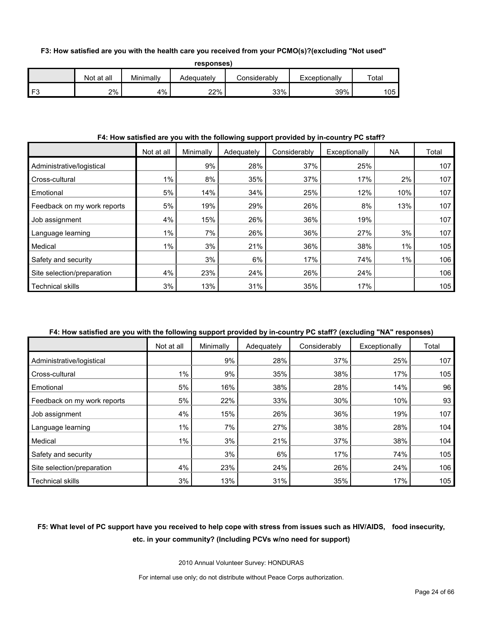#### **F3: How satisfied are you with the health care you received from your PCMO(s)?(excluding "Not used"**

**responses)**

|    | Not at all | Minimally | Adequatelv | ≿onsiderablv | Exceptionally | $\tau$ otai |
|----|------------|-----------|------------|--------------|---------------|-------------|
| ЕS | 2%         | 4%        | 22%        | 33%          | 39%           | 105         |

#### **F4: How satisfied are you with the following support provided by in-country PC staff?**

|                             | Not at all | Minimally | Adequately | Considerably | Exceptionally | NA  | Total |
|-----------------------------|------------|-----------|------------|--------------|---------------|-----|-------|
| Administrative/logistical   |            | 9%        | 28%        | 37%          | 25%           |     | 107   |
| Cross-cultural              | 1%         | 8%        | 35%        | 37%          | 17%           | 2%  | 107   |
| Emotional                   | 5%         | 14%       | 34%        | 25%          | 12%           | 10% | 107   |
| Feedback on my work reports | 5%         | 19%       | 29%        | 26%          | 8%            | 13% | 107   |
| Job assignment              | 4%         | 15%       | 26%        | 36%          | 19%           |     | 107   |
| Language learning           | 1%         | 7%        | 26%        | 36%          | 27%           | 3%  | 107   |
| Medical                     | 1%         | 3%        | 21%        | 36%          | 38%           | 1%  | 105   |
| Safety and security         |            | 3%        | 6%         | 17%          | 74%           | 1%  | 106   |
| Site selection/preparation  | 4%         | 23%       | 24%        | 26%          | 24%           |     | 106   |
| <b>Technical skills</b>     | 3%         | 13%       | 31%        | 35%          | 17%           |     | 105   |

### **F4: How satisfied are you with the following support provided by in-country PC staff? (excluding "NA" responses)**

|                             | Not at all | Minimally | Adequately | Considerably | Exceptionally | Total |
|-----------------------------|------------|-----------|------------|--------------|---------------|-------|
| Administrative/logistical   |            | 9%        | 28%        | 37%          | 25%           | 107   |
| Cross-cultural              | 1%         | 9%        | 35%        | 38%          | 17%           | 105   |
| Emotional                   | 5%         | 16%       | 38%        | 28%          | 14%           | 96    |
| Feedback on my work reports | 5%         | 22%       | 33%        | 30%          | 10%           | 93    |
| Job assignment              | 4%         | 15%       | 26%        | 36%          | 19%           | 107   |
| Language learning           | 1%         | 7%        | 27%        | 38%          | 28%           | 104   |
| Medical                     | 1%         | 3%        | 21%        | 37%          | 38%           | 104   |
| Safety and security         |            | 3%        | 6%         | 17%          | 74%           | 105   |
| Site selection/preparation  | 4%         | 23%       | 24%        | 26%          | 24%           | 106   |
| <b>Technical skills</b>     | 3%         | 13%       | 31%        | 35%          | 17%           | 105   |

# **F5: What level of PC support have you received to help cope with stress from issues such as HIV/AIDS, food insecurity, etc. in your community? (Including PCVs w/no need for support)**

2010 Annual Volunteer Survey: HONDURAS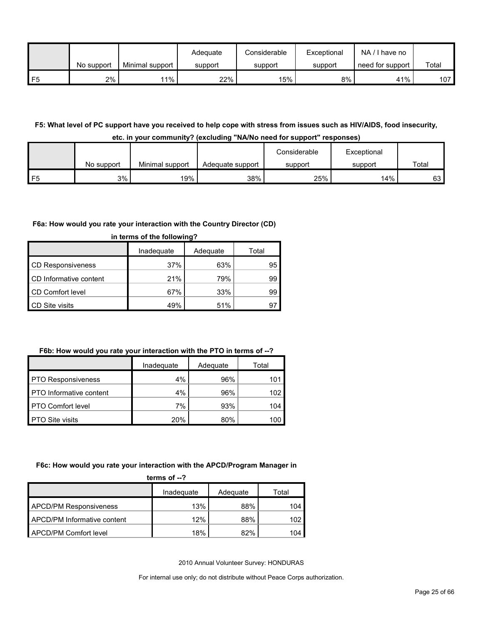|    |            |                 | Adequate | Considerable | Exceptional | NA/I have no     |       |
|----|------------|-----------------|----------|--------------|-------------|------------------|-------|
|    | No support | Minimal support | support  | support      | support     | need for support | Total |
| F5 | 2%         | $1\%$           | 22%      | 15%          | 8%          | 41%              | 107   |

#### **F5: What level of PC support have you received to help cope with stress from issues such as HIV/AIDS, food insecurity, etc. in your community? (excluding "NA/No need for support" responses)**

| -------- |            |                 |                  |              |             |       |
|----------|------------|-----------------|------------------|--------------|-------------|-------|
|          |            |                 |                  | Considerable | Exceptional |       |
|          | No support | Minimal support | Adequate support | support      | support     | Total |
| 口片       | 3%         | 19%             | 38%              | 25%          | 14%         | 63    |

#### **F6a: How would you rate your interaction with the Country Director (CD)**

|                         | Inadequate | Adequate | Total |
|-------------------------|------------|----------|-------|
| CD Responsiveness       | 37%        | 63%      | 95    |
| CD Informative content  | 21%        | 79%      | 99    |
| <b>CD Comfort level</b> | 67%        | 33%      | 99    |
| <b>CD</b> Site visits   | 49%        | 51%      | а.    |

### **in terms of the following?**

### **F6b: How would you rate your interaction with the PTO in terms of --?**

|                                | Inadequate | Adequate | Total |
|--------------------------------|------------|----------|-------|
| <b>PTO Responsiveness</b>      | 4%         | 96%      | 101   |
| <b>PTO</b> Informative content | 4%         | 96%      | 102   |
| <b>PTO Comfort level</b>       | 7%         | 93%      | 104   |
| <b>PTO Site visits</b>         | 20%        | 80%      | 100   |

#### **F6c: How would you rate your interaction with the APCD/Program Manager in**

| terms of $-2$                      |            |          |       |  |
|------------------------------------|------------|----------|-------|--|
|                                    | Inadequate | Adequate | Total |  |
| <b>APCD/PM Responsiveness</b>      | 13%        | 88%      | 104   |  |
| <b>APCD/PM Informative content</b> | 12%        | 88%      | 102   |  |
| APCD/PM Comfort level              | 18%        | 82%      | 104   |  |

2010 Annual Volunteer Survey: HONDURAS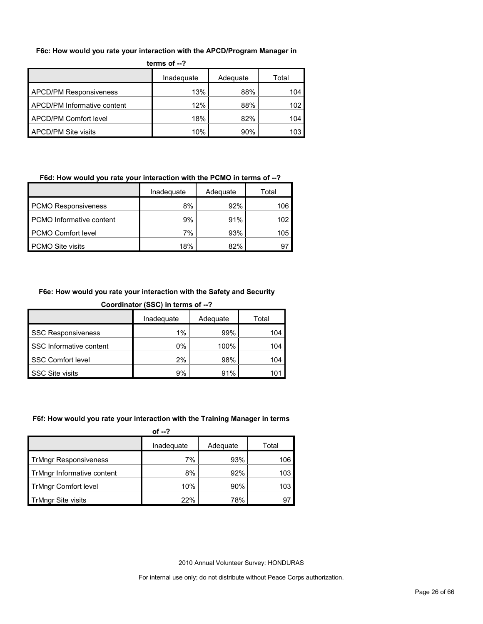#### **F6c: How would you rate your interaction with the APCD/Program Manager in**

| terms of $-2$                      |            |          |       |  |
|------------------------------------|------------|----------|-------|--|
|                                    | Inadequate | Adequate | Total |  |
| <b>APCD/PM Responsiveness</b>      | 13%        | 88%      | 104   |  |
| <b>APCD/PM Informative content</b> | 12%        | 88%      | 102   |  |
| APCD/PM Comfort level              | 18%        | 82%      | 104   |  |
| APCD/PM Site visits                | 10%        | 90%      | 103   |  |

| F6d: How would you rate your interaction with the PCMO in terms of --? |            |          |       |  |
|------------------------------------------------------------------------|------------|----------|-------|--|
|                                                                        | Inadequate | Adequate | Total |  |
| <b>PCMO Responsiveness</b>                                             | 8%         | 92%      | 106   |  |
| <b>PCMO</b> Informative content                                        | 9%         | 91%      | 102   |  |
| <b>PCMO Comfort level</b>                                              | 7%         | 93%      | 105   |  |
| <b>PCMO Site visits</b>                                                | 18%        | 82%      |       |  |

#### **F6e: How would you rate your interaction with the Safety and Security**

| Coordinator (SSC) in terms of --? |  |  |  |
|-----------------------------------|--|--|--|
|                                   |  |  |  |
|                                   |  |  |  |

|                           | Inadequate | Adequate | Total |
|---------------------------|------------|----------|-------|
| <b>SSC Responsiveness</b> | $1\%$      | 99%      | 104   |
| SSC Informative content   | 0%         | 100%     | 104   |
| SSC Comfort level         | 2%         | 98%      | 104   |
| <b>SSC Site visits</b>    | 9%         | 91%      |       |

#### **F6f: How would you rate your interaction with the Training Manager in terms**

| of $-2$                      |            |          |       |  |
|------------------------------|------------|----------|-------|--|
|                              | Inadequate | Adequate | Total |  |
| <b>TrMngr Responsiveness</b> | 7%         | 93%      | 106   |  |
| TrMngr Informative content   | 8%         | 92%      | 103   |  |
| <b>TrMngr Comfort level</b>  | 10%        | 90%      | 103   |  |
| <b>TrMngr Site visits</b>    | 22%        | 78%      | 97    |  |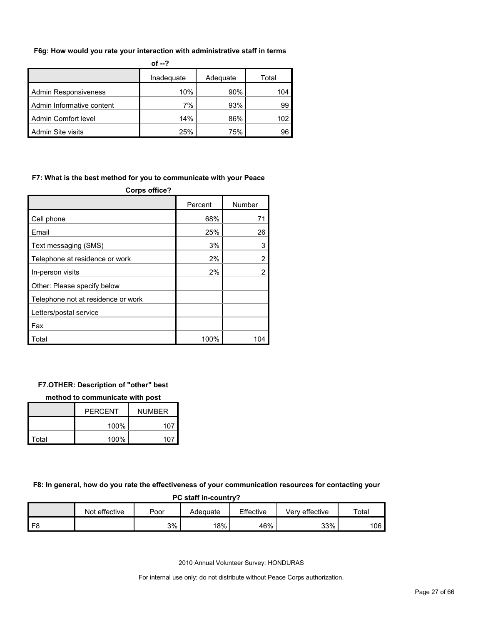#### **F6g: How would you rate your interaction with administrative staff in terms**

|                             | of $-2$    |          |       |
|-----------------------------|------------|----------|-------|
|                             | Inadequate | Adequate | Total |
| <b>Admin Responsiveness</b> | 10%        | 90%      | 104   |
| Admin Informative content   | 7%         | 93%      | 99    |
| Admin Comfort level         | 14%        | 86%      | 102   |
| Admin Site visits           | 25%        | 75%      | 96    |

#### **F7: What is the best method for you to communicate with your Peace**

| <b>Corps office?</b>               |         |                |  |  |
|------------------------------------|---------|----------------|--|--|
|                                    | Percent | Number         |  |  |
| Cell phone                         | 68%     | 71             |  |  |
| Email                              | 25%     | 26             |  |  |
| Text messaging (SMS)               | 3%      | 3              |  |  |
| Telephone at residence or work     | 2%      | $\overline{2}$ |  |  |
| In-person visits                   | 2%      | $\overline{2}$ |  |  |
| Other: Please specify below        |         |                |  |  |
| Telephone not at residence or work |         |                |  |  |
| Letters/postal service             |         |                |  |  |
| Fax                                |         |                |  |  |
| Total                              | 100%    |                |  |  |

#### **F7.OTHER: Description of "other" best**

#### **method to communicate with post**

|       | <b>PERCENT</b> | <b>NUMBER</b> |
|-------|----------------|---------------|
|       | 100%           | 107           |
| Total | 100%           | 107           |

#### **F8: In general, how do you rate the effectiveness of your communication resources for contacting your**

| PC staff in-country? |               |      |          |           |                |       |  |  |  |  |
|----------------------|---------------|------|----------|-----------|----------------|-------|--|--|--|--|
|                      | Not effective | Poor | Adeɑuate | Effective | Verv effective | Total |  |  |  |  |
|                      |               | 3%   | 18%      | 46%       | 33%            | 106   |  |  |  |  |

2010 Annual Volunteer Survey: HONDURAS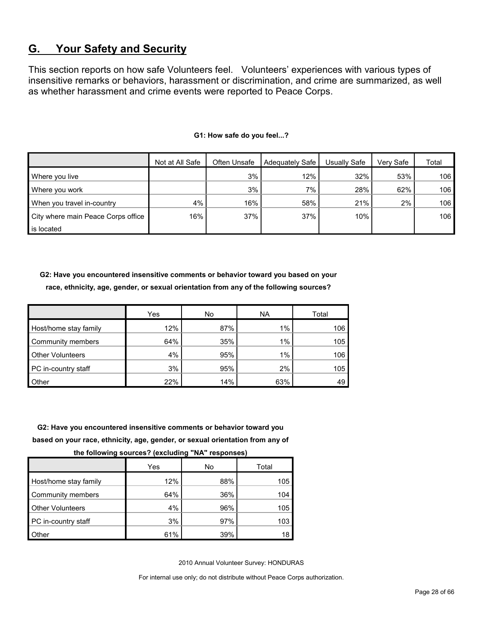# <span id="page-27-0"></span>**G. Your Safety and Security**

This section reports on how safe Volunteers feel. Volunteers' experiences with various types of insensitive remarks or behaviors, harassment or discrimination, and crime are summarized, as well as whether harassment and crime events were reported to Peace Corps.

|                                    | Not at All Safe | Often Unsafe | Adequately Safe | Usually Safe | Verv Safe | Total |
|------------------------------------|-----------------|--------------|-----------------|--------------|-----------|-------|
| Where you live                     |                 | 3%           | 12%             | 32%          | 53%       | 106   |
| Where you work                     |                 | 3%           | $7\%$           | 28%          | 62%       | 106   |
| When you travel in-country         | 4%              | 16%          | 58%             | 21%          | $2\%$     | 106   |
| City where main Peace Corps office | 16%             | 37%          | 37%             | 10%          |           | 106   |
| is located                         |                 |              |                 |              |           |       |

#### **G1: How safe do you feel...?**

**G2: Have you encountered insensitive comments or behavior toward you based on your race, ethnicity, age, gender, or sexual orientation from any of the following sources?**

|                         | Yes | No  | <b>NA</b> | Total |
|-------------------------|-----|-----|-----------|-------|
| Host/home stay family   | 12% | 87% | 1%        | 106   |
| Community members       | 64% | 35% | 1%        | 105   |
| <b>Other Volunteers</b> | 4%  | 95% | 1%        | 106   |
| PC in-country staff     | 3%  | 95% | 2%        | 105   |
| <b>Other</b>            | 22% | 14% | 63%       | 49    |

**G2: Have you encountered insensitive comments or behavior toward you** 

**based on your race, ethnicity, age, gender, or sexual orientation from any of** 

**the following sources? (excluding "NA" responses)**

|                         | Yes | No  | Total |
|-------------------------|-----|-----|-------|
| Host/home stay family   | 12% | 88% | 105   |
| Community members       | 64% | 36% | 104   |
| <b>Other Volunteers</b> | 4%  | 96% | 105   |
| PC in-country staff     | 3%  | 97% | 103   |
| Other                   | 61% | 39% | 18    |

2010 Annual Volunteer Survey: HONDURAS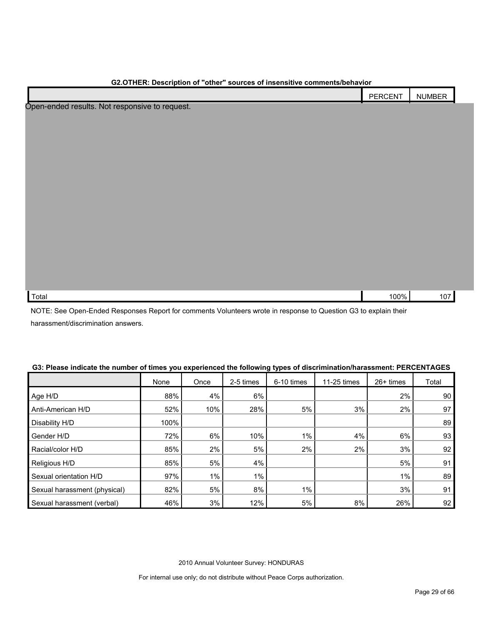|                                                | PERCENT | <b>NUMBER</b> |
|------------------------------------------------|---------|---------------|
| Open-ended results. Not responsive to request. |         |               |
|                                                |         |               |
|                                                |         |               |
|                                                |         |               |
|                                                |         |               |
|                                                |         |               |
|                                                |         |               |
|                                                |         |               |
|                                                |         |               |
|                                                |         |               |
|                                                |         |               |
|                                                |         |               |
|                                                |         |               |
|                                                |         |               |
|                                                |         |               |
|                                                |         |               |
| Total                                          | 100%    | 107           |

NOTE: See Open-Ended Responses Report for comments Volunteers wrote in response to Question G3 to explain their harassment/discrimination answers.

|  |  | G3: Please indicate the number of times you experienced the following types of discrimination/harassment: PERCENTAGES |
|--|--|-----------------------------------------------------------------------------------------------------------------------|
|--|--|-----------------------------------------------------------------------------------------------------------------------|

| on't loudd mundulo mo number of mnod you oxponenced mo fonoming typed of ulderminiumeramment. I Erefer from t |      |       |           |            |             |           |       |
|---------------------------------------------------------------------------------------------------------------|------|-------|-----------|------------|-------------|-----------|-------|
|                                                                                                               | None | Once  | 2-5 times | 6-10 times | 11-25 times | 26+ times | Total |
| Age H/D                                                                                                       | 88%  | 4%    | 6%        |            |             | 2%        | 90    |
| Anti-American H/D                                                                                             | 52%  | 10%   | 28%       | 5%         | 3%          | 2%        | 97    |
| Disability H/D                                                                                                | 100% |       |           |            |             |           | 89    |
| Gender H/D                                                                                                    | 72%  | 6%    | 10%       | 1%         | 4%          | 6%        | 93    |
| Racial/color H/D                                                                                              | 85%  | 2%    | 5%        | 2%         | 2%          | 3%        | 92    |
| Religious H/D                                                                                                 | 85%  | 5%    | 4%        |            |             | 5%        | 91    |
| Sexual orientation H/D                                                                                        | 97%  | $1\%$ | $1\%$     |            |             | $1\%$     | 89    |
| Sexual harassment (physical)                                                                                  | 82%  | 5%    | 8%        | 1%         |             | 3%        | 91    |
| Sexual harassment (verbal)                                                                                    | 46%  | 3%    | 12%       | 5%         | 8%          | 26%       | 92    |

2010 Annual Volunteer Survey: HONDURAS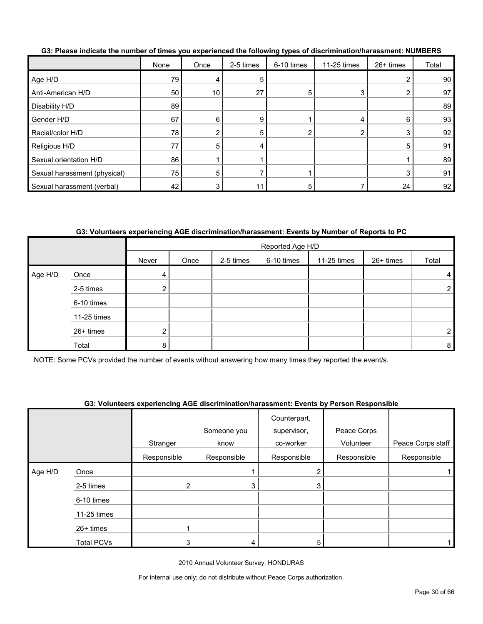|                              | None            | Once | 2-5 times | 6-10 times | 11-25 times    | 26+ times | Total |
|------------------------------|-----------------|------|-----------|------------|----------------|-----------|-------|
| Age H/D                      | 79              |      | 5         |            |                |           | 90    |
| Anti-American H/D            | 50 <sup>1</sup> | 10   | 27        | 5          | 3              | 2         | 97    |
| Disability H/D               | 89              |      |           |            |                |           | 89    |
| Gender H/D                   | 67              | 6    | 9         |            | 4              | 6         | 93    |
| Racial/color H/D             | 78              |      | 5         |            | $\overline{2}$ | 3         | 92    |
| Religious H/D                | 77              | 5    |           |            |                | 5         | 91    |
| Sexual orientation H/D       | 86              |      |           |            |                |           | 89    |
| Sexual harassment (physical) | 75              | 5    |           |            |                | 3         | 91    |
| Sexual harassment (verbal)   | 42              |      |           |            |                | 24        | 92    |

**G3: Please indicate the number of times you experienced the following types of discrimination/harassment: NUMBERS**

### **G3: Volunteers experiencing AGE discrimination/harassment: Events by Number of Reports to PC**

|         |             |                | Reported Age H/D |           |            |             |           |                |  |  |
|---------|-------------|----------------|------------------|-----------|------------|-------------|-----------|----------------|--|--|
|         |             | Never          | Once             | 2-5 times | 6-10 times | 11-25 times | 26+ times | Total          |  |  |
| Age H/D | Once        | 4              |                  |           |            |             |           | 4              |  |  |
|         | 2-5 times   |                |                  |           |            |             |           | $\overline{2}$ |  |  |
|         | 6-10 times  |                |                  |           |            |             |           |                |  |  |
|         | 11-25 times |                |                  |           |            |             |           |                |  |  |
|         | 26+ times   | 2 <sub>1</sub> |                  |           |            |             |           | 2              |  |  |
|         | Total       | 8              |                  |           |            |             |           | 8              |  |  |

NOTE: Some PCVs provided the number of events without answering how many times they reported the event/s.

#### **G3: Volunteers experiencing AGE discrimination/harassment: Events by Person Responsible**

|         |                   |             | Someone you | Counterpart,<br>supervisor, | Peace Corps |                   |
|---------|-------------------|-------------|-------------|-----------------------------|-------------|-------------------|
|         |                   | Stranger    | know        | co-worker                   | Volunteer   | Peace Corps staff |
|         |                   | Responsible | Responsible | Responsible                 | Responsible | Responsible       |
| Age H/D | Once              |             |             |                             |             |                   |
|         | 2-5 times         | 2           | 3           |                             |             |                   |
|         | 6-10 times        |             |             |                             |             |                   |
|         | 11-25 times       |             |             |                             |             |                   |
|         | $26+$ times       |             |             |                             |             |                   |
|         | <b>Total PCVs</b> | 3           | 4           |                             |             |                   |

2010 Annual Volunteer Survey: HONDURAS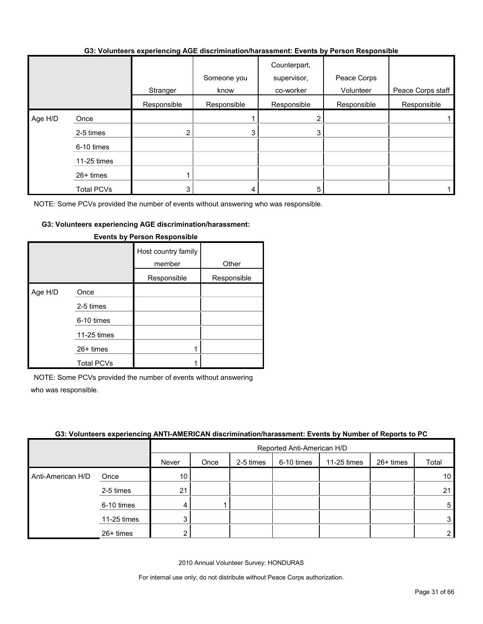#### **G3: Volunteers experiencing AGE discrimination/harassment: Events by Person Responsible**

|         |             | Stranger    | Someone you<br>know | Counterpart,<br>supervisor,<br>co-worker | Peace Corps<br>Volunteer | Peace Corps staff |
|---------|-------------|-------------|---------------------|------------------------------------------|--------------------------|-------------------|
|         |             | Responsible | Responsible         | Responsible                              | Responsible              | Responsible       |
| Age H/D | Once        |             |                     |                                          |                          |                   |
|         | 2-5 times   | 2           | 3                   |                                          |                          |                   |
|         | 6-10 times  |             |                     |                                          |                          |                   |
|         | 11-25 times |             |                     |                                          |                          |                   |
|         | 26+ times   |             |                     |                                          |                          |                   |
|         | Total PCVs  |             |                     |                                          |                          |                   |

NOTE: Some PCVs provided the number of events without answering who was responsible.

#### **G3: Volunteers experiencing AGE discrimination/harassment:**

|         |                   | Host country family<br>member | Other       |
|---------|-------------------|-------------------------------|-------------|
|         |                   | Responsible                   | Responsible |
| Age H/D | Once              |                               |             |
|         | 2-5 times         |                               |             |
|         | 6-10 times        |                               |             |
|         | 11-25 times       |                               |             |
|         | $26+$ times       |                               |             |
|         | <b>Total PCVs</b> |                               |             |

#### **Events by Person Responsible**

NOTE: Some PCVs provided the number of events without answering who was responsible.

#### **G3: Volunteers experiencing ANTI-AMERICAN discrimination/harassment: Events by Number of Reports to PC**

|                   |             |       | Reported Anti-American H/D |           |            |             |             |                 |  |
|-------------------|-------------|-------|----------------------------|-----------|------------|-------------|-------------|-----------------|--|
|                   |             | Never | Once                       | 2-5 times | 6-10 times | 11-25 times | $26+$ times | Total           |  |
| Anti-American H/D | Once        | 10    |                            |           |            |             |             | 10 <sub>1</sub> |  |
|                   | 2-5 times   | 21    |                            |           |            |             |             | 21              |  |
|                   | 6-10 times  | 4     |                            |           |            |             |             | $5\phantom{.0}$ |  |
|                   | 11-25 times | 3     |                            |           |            |             |             | 3               |  |
|                   | 26+ times   |       |                            |           |            |             |             | $\overline{2}$  |  |

2010 Annual Volunteer Survey: HONDURAS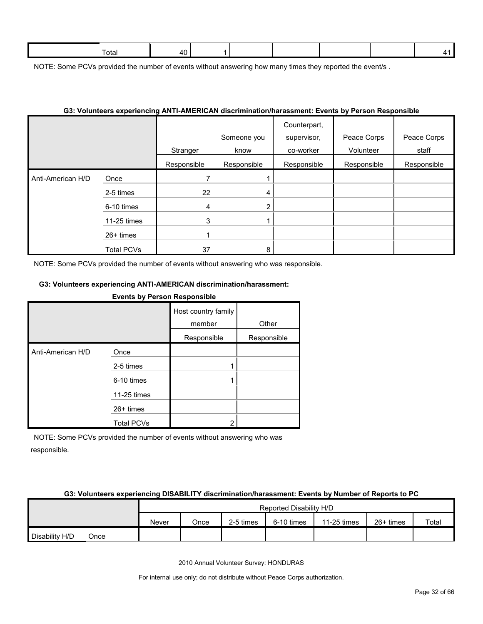| -<br>Гоtal |  |  |  |  |
|------------|--|--|--|--|
|            |  |  |  |  |

NOTE: Some PCVs provided the number of events without answering how many times they reported the event/s.

#### **G3: Volunteers experiencing ANTI-AMERICAN discrimination/harassment: Events by Person Responsible**

|                   |                   |             | Someone you    | Counterpart,<br>supervisor, | Peace Corps | Peace Corps |
|-------------------|-------------------|-------------|----------------|-----------------------------|-------------|-------------|
|                   |                   | Stranger    | know           | co-worker                   | Volunteer   | staff       |
|                   |                   | Responsible | Responsible    | Responsible                 | Responsible | Responsible |
| Anti-American H/D | Once              |             |                |                             |             |             |
|                   | 2-5 times         | 22          | 4              |                             |             |             |
|                   | 6-10 times        | 4           | $\overline{2}$ |                             |             |             |
|                   | 11-25 times       | 3           |                |                             |             |             |
|                   | 26+ times         |             |                |                             |             |             |
|                   | <b>Total PCVs</b> | 37          | 8              |                             |             |             |

NOTE: Some PCVs provided the number of events without answering who was responsible.

#### **G3: Volunteers experiencing ANTI-AMERICAN discrimination/harassment:**

**Events by Person Responsible**

|                   |                   | Host country family |             |  |
|-------------------|-------------------|---------------------|-------------|--|
|                   |                   | member              | Other       |  |
|                   |                   | Responsible         | Responsible |  |
| Anti-American H/D | Once              |                     |             |  |
|                   | 2-5 times         |                     |             |  |
|                   | 6-10 times        | 1                   |             |  |
|                   | 11-25 times       |                     |             |  |
|                   | $26+$ times       |                     |             |  |
|                   | <b>Total PCVs</b> | 2                   |             |  |

NOTE: Some PCVs provided the number of events without answering who was responsible.

#### **G3: Volunteers experiencing DISABILITY discrimination/harassment: Events by Number of Reports to PC**

|                |      | Reported Disability H/D |      |           |            |             |           |       |
|----------------|------|-------------------------|------|-----------|------------|-------------|-----------|-------|
|                |      | Never                   | Once | 2-5 times | 6-10 times | 11-25 times | 26+ times | Total |
| Disability H/D | Once |                         |      |           |            |             |           |       |

2010 Annual Volunteer Survey: HONDURAS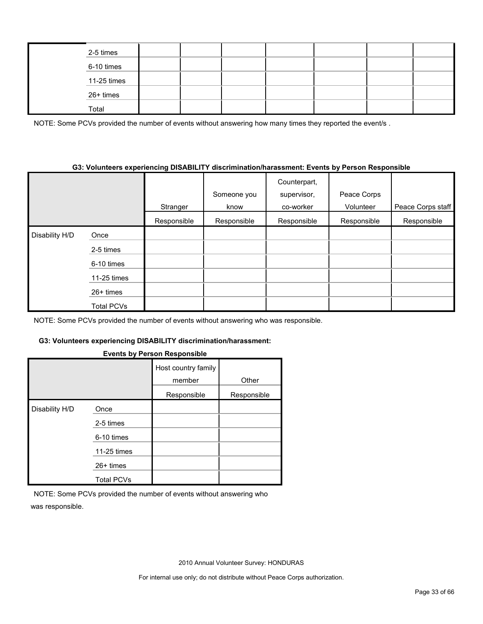| 2-5 times   |  |  |  |  |
|-------------|--|--|--|--|
| 6-10 times  |  |  |  |  |
| 11-25 times |  |  |  |  |
| 26+ times   |  |  |  |  |
| Total       |  |  |  |  |

NOTE: Some PCVs provided the number of events without answering how many times they reported the event/s.

#### **G3: Volunteers experiencing DISABILITY discrimination/harassment: Events by Person Responsible**

|                |                   | Stranger    | Someone you<br>know | Counterpart,<br>supervisor,<br>co-worker | Peace Corps<br>Volunteer | Peace Corps staff |
|----------------|-------------------|-------------|---------------------|------------------------------------------|--------------------------|-------------------|
|                |                   | Responsible | Responsible         | Responsible                              | Responsible              | Responsible       |
| Disability H/D | Once              |             |                     |                                          |                          |                   |
|                | 2-5 times         |             |                     |                                          |                          |                   |
|                | 6-10 times        |             |                     |                                          |                          |                   |
|                | 11-25 times       |             |                     |                                          |                          |                   |
|                | $26+$ times       |             |                     |                                          |                          |                   |
|                | <b>Total PCVs</b> |             |                     |                                          |                          |                   |

NOTE: Some PCVs provided the number of events without answering who was responsible.

#### **G3: Volunteers experiencing DISABILITY discrimination/harassment:**

#### **Events by Person Responsible**

|                |                   | Host country family<br>member | Other       |
|----------------|-------------------|-------------------------------|-------------|
|                |                   | Responsible                   | Responsible |
| Disability H/D | Once              |                               |             |
|                | 2-5 times         |                               |             |
|                | 6-10 times        |                               |             |
|                | 11-25 times       |                               |             |
|                | $26+$ times       |                               |             |
|                | <b>Total PCVs</b> |                               |             |

NOTE: Some PCVs provided the number of events without answering who was responsible.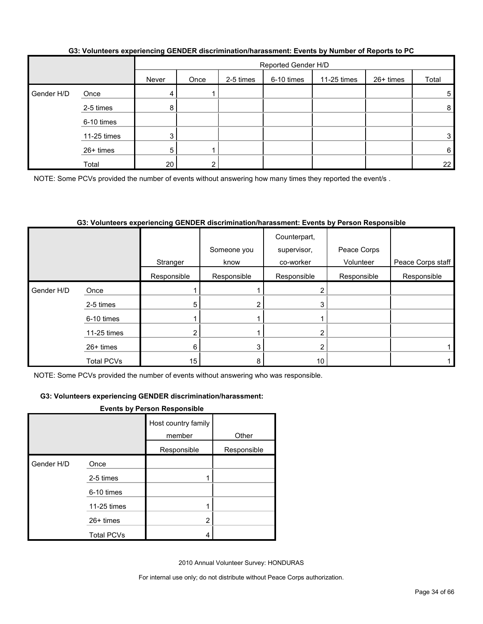|            |             |       | Reported Gender H/D |           |            |             |           |                 |  |
|------------|-------------|-------|---------------------|-----------|------------|-------------|-----------|-----------------|--|
|            |             | Never | Once                | 2-5 times | 6-10 times | 11-25 times | 26+ times | Total           |  |
| Gender H/D | Once        | 4     |                     |           |            |             |           | 5               |  |
|            | 2-5 times   | 8     |                     |           |            |             |           | 8 <sup>1</sup>  |  |
|            | 6-10 times  |       |                     |           |            |             |           |                 |  |
|            | 11-25 times | 3     |                     |           |            |             |           | 3               |  |
|            | 26+ times   | 5     |                     |           |            |             |           | $6 \mid$        |  |
|            | Total       | 20    | ົ                   |           |            |             |           | 22 <sub>1</sub> |  |

#### **G3: Volunteers experiencing GENDER discrimination/harassment: Events by Number of Reports to PC**

NOTE: Some PCVs provided the number of events without answering how many times they reported the event/s.

#### **G3: Volunteers experiencing GENDER discrimination/harassment: Events by Person Responsible**

|            |                   | Stranger    | Someone you<br>know | Counterpart,<br>supervisor,<br>co-worker | Peace Corps<br>Volunteer | Peace Corps staff |
|------------|-------------------|-------------|---------------------|------------------------------------------|--------------------------|-------------------|
|            |                   | Responsible | Responsible         | Responsible                              | Responsible              | Responsible       |
| Gender H/D | Once              |             |                     |                                          |                          |                   |
|            | 2-5 times         | 5           | 2                   | 3                                        |                          |                   |
|            | 6-10 times        |             |                     |                                          |                          |                   |
|            | 11-25 times       |             |                     |                                          |                          |                   |
|            | 26+ times         | 6           | 3                   | ◠                                        |                          |                   |
|            | <b>Total PCVs</b> | 15          | 8                   | 10                                       |                          |                   |

NOTE: Some PCVs provided the number of events without answering who was responsible.

#### **G3: Volunteers experiencing GENDER discrimination/harassment:**

#### **Events by Person Responsible**

|            |                   | Host country family<br>member | Other       |
|------------|-------------------|-------------------------------|-------------|
|            |                   | Responsible                   | Responsible |
| Gender H/D | Once              |                               |             |
|            | 2-5 times         |                               |             |
|            | 6-10 times        |                               |             |
|            | 11-25 times       |                               |             |
|            | $26+$ times       | 2                             |             |
|            | <b>Total PCVs</b> | 4                             |             |

2010 Annual Volunteer Survey: HONDURAS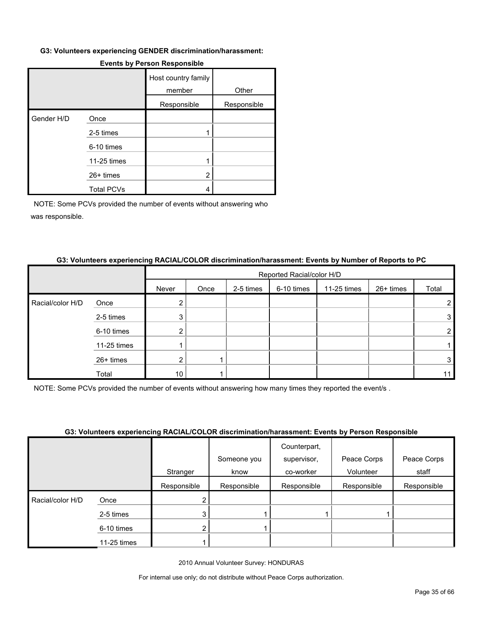#### **G3: Volunteers experiencing GENDER discrimination/harassment:**

|            |                   | Host country family<br>member | Other       |
|------------|-------------------|-------------------------------|-------------|
|            |                   | Responsible                   | Responsible |
| Gender H/D | Once              |                               |             |
|            | 2-5 times         |                               |             |
|            | 6-10 times        |                               |             |
|            | 11-25 times       |                               |             |
|            | $26+$ times       | 2                             |             |
|            | <b>Total PCVs</b> | 4                             |             |

#### **Events by Person Responsible**

NOTE: Some PCVs provided the number of events without answering who was responsible.

#### **G3: Volunteers experiencing RACIAL/COLOR discrimination/harassment: Events by Number of Reports to PC**

|                  |             |       | Reported Racial/color H/D |           |            |             |           |       |  |  |
|------------------|-------------|-------|---------------------------|-----------|------------|-------------|-----------|-------|--|--|
|                  |             | Never | Once                      | 2-5 times | 6-10 times | 11-25 times | 26+ times | Total |  |  |
| Racial/color H/D | Once        |       |                           |           |            |             |           |       |  |  |
|                  | 2-5 times   | 3     |                           |           |            |             |           | 3     |  |  |
|                  | 6-10 times  | ◠     |                           |           |            |             |           | ົ     |  |  |
|                  | 11-25 times |       |                           |           |            |             |           |       |  |  |
|                  | 26+ times   |       |                           |           |            |             |           | 3     |  |  |
|                  | Total       | 10    |                           |           |            |             |           |       |  |  |

NOTE: Some PCVs provided the number of events without answering how many times they reported the event/s .

#### **G3: Volunteers experiencing RACIAL/COLOR discrimination/harassment: Events by Person Responsible**

|                  |             |             |             | Counterpart, |             |             |
|------------------|-------------|-------------|-------------|--------------|-------------|-------------|
|                  |             |             | Someone you | supervisor,  | Peace Corps | Peace Corps |
|                  |             | Stranger    | know        | co-worker    | Volunteer   | staff       |
|                  |             | Responsible | Responsible | Responsible  | Responsible | Responsible |
| Racial/color H/D | Once        |             |             |              |             |             |
|                  | 2-5 times   |             |             |              |             |             |
|                  | 6-10 times  |             |             |              |             |             |
|                  | 11-25 times |             |             |              |             |             |

2010 Annual Volunteer Survey: HONDURAS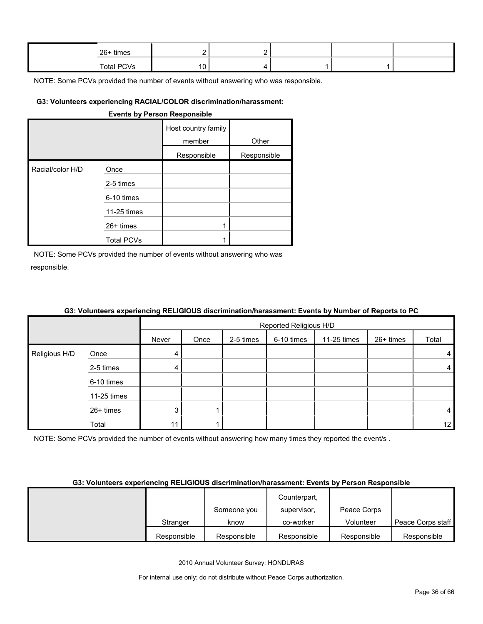| 26+ times         |  |  |  |
|-------------------|--|--|--|
| <b>Total PCVs</b> |  |  |  |

#### **G3: Volunteers experiencing RACIAL/COLOR discrimination/harassment:**

#### **Events by Person Responsible**

|                  |                   | Host country family<br>member | Other       |
|------------------|-------------------|-------------------------------|-------------|
|                  |                   | Responsible                   | Responsible |
| Racial/color H/D | Once              |                               |             |
|                  | 2-5 times         |                               |             |
|                  | 6-10 times        |                               |             |
|                  | 11-25 times       |                               |             |
|                  | $26+$ times       |                               |             |
|                  | <b>Total PCVs</b> |                               |             |

NOTE: Some PCVs provided the number of events without answering who was responsible.

|               | . <b>. .</b> |       |                        |           |            | .           | .         |       |  |  |
|---------------|--------------|-------|------------------------|-----------|------------|-------------|-----------|-------|--|--|
|               |              |       | Reported Religious H/D |           |            |             |           |       |  |  |
|               |              | Never | Once                   | 2-5 times | 6-10 times | 11-25 times | 26+ times | Total |  |  |
| Religious H/D | Once         |       |                        |           |            |             |           | 4     |  |  |
|               | 2-5 times    | 4     |                        |           |            |             |           | 4     |  |  |
|               | 6-10 times   |       |                        |           |            |             |           |       |  |  |
|               | 11-25 times  |       |                        |           |            |             |           |       |  |  |
|               | 26+ times    | 3     |                        |           |            |             |           | 4     |  |  |
|               | Total        | 11    |                        |           |            |             |           | 12    |  |  |

### **G3: Volunteers experiencing RELIGIOUS discrimination/harassment: Events by Number of Reports to PC**

NOTE: Some PCVs provided the number of events without answering how many times they reported the event/s.

#### **G3: Volunteers experiencing RELIGIOUS discrimination/harassment: Events by Person Responsible**

|             |             | Counterpart, |             |                   |
|-------------|-------------|--------------|-------------|-------------------|
|             | Someone you | supervisor,  | Peace Corps |                   |
| Stranger    | know        | co-worker    | Volunteer   | Peace Corps staff |
| Responsible | Responsible | Responsible  | Responsible | Responsible       |

2010 Annual Volunteer Survey: HONDURAS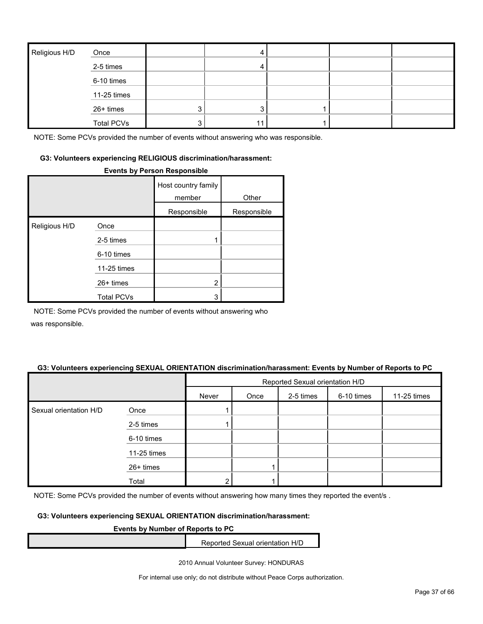| Religious H/D | Once              |   |  |  |
|---------------|-------------------|---|--|--|
|               | 2-5 times         |   |  |  |
|               | 6-10 times        |   |  |  |
|               | 11-25 times       |   |  |  |
|               | 26+ times         | 3 |  |  |
|               | <b>Total PCVs</b> | 3 |  |  |

#### **G3: Volunteers experiencing RELIGIOUS discrimination/harassment:**

#### **Events by Person Responsible**

|               |                   | Host country family<br>member | Other       |
|---------------|-------------------|-------------------------------|-------------|
|               |                   | Responsible                   | Responsible |
| Religious H/D | Once              |                               |             |
|               | 2-5 times         |                               |             |
|               | 6-10 times        |                               |             |
|               | 11-25 times       |                               |             |
|               | $26+$ times       | $\overline{2}$                |             |
|               | <b>Total PCVs</b> | 3                             |             |

NOTE: Some PCVs provided the number of events without answering who

was responsible.

#### **G3: Volunteers experiencing SEXUAL ORIENTATION discrimination/harassment: Events by Number of Reports to PC**

|                        |             |       | Reported Sexual orientation H/D |           |            |             |  |  |
|------------------------|-------------|-------|---------------------------------|-----------|------------|-------------|--|--|
|                        |             | Never | Once                            | 2-5 times | 6-10 times | 11-25 times |  |  |
| Sexual orientation H/D | Once        |       |                                 |           |            |             |  |  |
|                        | 2-5 times   |       |                                 |           |            |             |  |  |
|                        | 6-10 times  |       |                                 |           |            |             |  |  |
|                        | 11-25 times |       |                                 |           |            |             |  |  |
|                        | 26+ times   |       |                                 |           |            |             |  |  |
|                        | Total       | ົ     |                                 |           |            |             |  |  |

NOTE: Some PCVs provided the number of events without answering how many times they reported the event/s.

#### **G3: Volunteers experiencing SEXUAL ORIENTATION discrimination/harassment:**

#### **Events by Number of Reports to PC**

Reported Sexual orientation H/D

2010 Annual Volunteer Survey: HONDURAS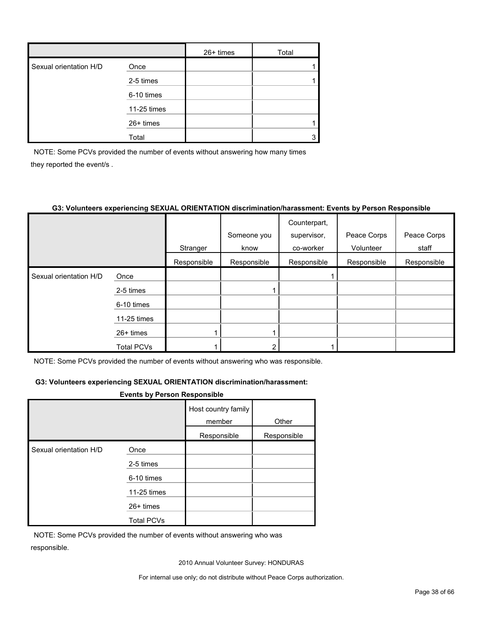|                        |             | $26+$ times | Total |
|------------------------|-------------|-------------|-------|
| Sexual orientation H/D | Once        |             |       |
|                        | 2-5 times   |             |       |
|                        | 6-10 times  |             |       |
|                        | 11-25 times |             |       |
|                        | 26+ times   |             |       |
|                        | Total       |             |       |

NOTE: Some PCVs provided the number of events without answering how many times they reported the event/s .

#### **G3: Volunteers experiencing SEXUAL ORIENTATION discrimination/harassment: Events by Person Responsible**

|                        |                   |             |             | Counterpart, |             |             |
|------------------------|-------------------|-------------|-------------|--------------|-------------|-------------|
|                        |                   |             | Someone you | supervisor,  | Peace Corps | Peace Corps |
|                        |                   | Stranger    | know        | co-worker    | Volunteer   | staff       |
|                        |                   | Responsible | Responsible | Responsible  | Responsible | Responsible |
| Sexual orientation H/D | Once              |             |             |              |             |             |
|                        | 2-5 times         |             |             |              |             |             |
|                        | 6-10 times        |             |             |              |             |             |
|                        | 11-25 times       |             |             |              |             |             |
|                        | $26+$ times       |             |             |              |             |             |
|                        | <b>Total PCVs</b> |             |             |              |             |             |

NOTE: Some PCVs provided the number of events without answering who was responsible.

#### **G3: Volunteers experiencing SEXUAL ORIENTATION discrimination/harassment:**

#### **Events by Person Responsible**

|                        |                   | Host country family<br>member | Other       |
|------------------------|-------------------|-------------------------------|-------------|
|                        |                   | Responsible                   | Responsible |
| Sexual orientation H/D | Once              |                               |             |
|                        | 2-5 times         |                               |             |
|                        | 6-10 times        |                               |             |
|                        | 11-25 times       |                               |             |
|                        | $26+$ times       |                               |             |
|                        | <b>Total PCVs</b> |                               |             |

NOTE: Some PCVs provided the number of events without answering who was responsible.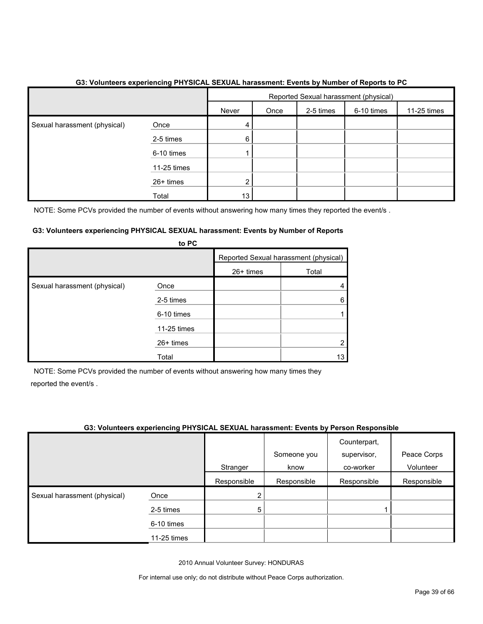|                              |             |       |      |           | Reported Sexual harassment (physical) |             |
|------------------------------|-------------|-------|------|-----------|---------------------------------------|-------------|
|                              |             | Never | Once | 2-5 times | 6-10 times                            | 11-25 times |
| Sexual harassment (physical) | Once        | 4     |      |           |                                       |             |
|                              | 2-5 times   | 6     |      |           |                                       |             |
|                              | 6-10 times  |       |      |           |                                       |             |
|                              | 11-25 times |       |      |           |                                       |             |
|                              | 26+ times   | 2     |      |           |                                       |             |
|                              | Total       | 13    |      |           |                                       |             |

#### **G3: Volunteers experiencing PHYSICAL SEXUAL harassment: Events by Number of Reports to PC**

NOTE: Some PCVs provided the number of events without answering how many times they reported the event/s.

#### **G3: Volunteers experiencing PHYSICAL SEXUAL harassment: Events by Number of Reports to PC**

|                              | <b>U</b> rv |           |                                       |
|------------------------------|-------------|-----------|---------------------------------------|
|                              |             |           | Reported Sexual harassment (physical) |
|                              |             | 26+ times | Total                                 |
| Sexual harassment (physical) | Once        |           |                                       |
|                              | 2-5 times   |           | 6                                     |
|                              | 6-10 times  |           |                                       |
|                              | 11-25 times |           |                                       |
|                              | 26+ times   |           |                                       |
|                              | Total       |           | 13                                    |

NOTE: Some PCVs provided the number of events without answering how many times they reported the event/s .

#### **G3: Volunteers experiencing PHYSICAL SEXUAL harassment: Events by Person Responsible**

|                              |             |             | Someone you | Counterpart,<br>supervisor, | Peace Corps |
|------------------------------|-------------|-------------|-------------|-----------------------------|-------------|
|                              |             | Stranger    | know        | co-worker                   | Volunteer   |
|                              |             | Responsible | Responsible | Responsible                 | Responsible |
| Sexual harassment (physical) | Once        | າ           |             |                             |             |
|                              | 2-5 times   | 5           |             |                             |             |
|                              | 6-10 times  |             |             |                             |             |
|                              | 11-25 times |             |             |                             |             |

2010 Annual Volunteer Survey: HONDURAS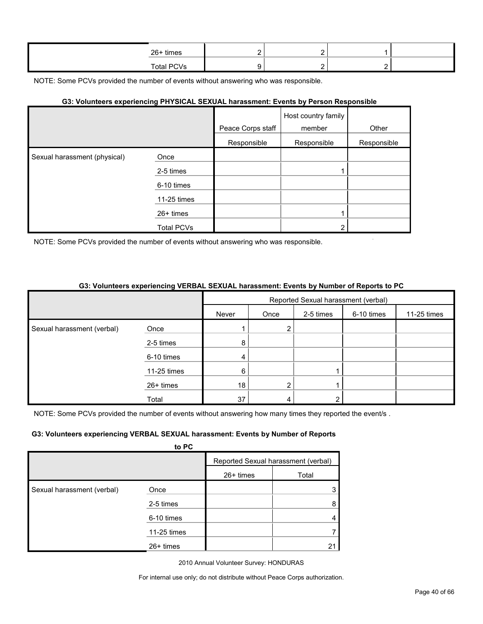| 26+ times         |  |  |
|-------------------|--|--|
| <b>Total PCVs</b> |  |  |

#### **G3: Volunteers experiencing PHYSICAL SEXUAL harassment: Events by Person Responsible**

|                              |             |                   | Host country family |             |
|------------------------------|-------------|-------------------|---------------------|-------------|
|                              |             | Peace Corps staff | member              | Other       |
|                              |             | Responsible       | Responsible         | Responsible |
| Sexual harassment (physical) | Once        |                   |                     |             |
|                              | 2-5 times   |                   |                     |             |
|                              | 6-10 times  |                   |                     |             |
|                              | 11-25 times |                   |                     |             |
|                              | $26+$ times |                   |                     |             |
|                              | Total PCVs  |                   | ⌒                   |             |

NOTE: Some PCVs provided the number of events without answering who was responsible.

#### **G3: Volunteers experiencing VERBAL SEXUAL harassment: Events by Number of Reports to PC** 5  $\overline{\phantom{a}}$

|                            |             | Reported Sexual harassment (verbal) |      |           |            |             |
|----------------------------|-------------|-------------------------------------|------|-----------|------------|-------------|
|                            |             | Never                               | Once | 2-5 times | 6-10 times | 11-25 times |
| Sexual harassment (verbal) | Once        |                                     | 2    |           |            |             |
|                            | 2-5 times   | 8                                   |      |           |            |             |
|                            | 6-10 times  | 4                                   |      |           |            |             |
|                            | 11-25 times | 6                                   |      |           |            |             |
|                            | 26+ times   | 18                                  | ົ    |           |            |             |
|                            | Total       | 37                                  | 4    |           |            |             |

NOTE: Some PCVs provided the number of events without answering how many times they reported the event/s.

#### **G3: Volunteers experiencing VERBAL SEXUAL harassment: Events by Number of Reports**

|                            | to PC       |             |                                     |
|----------------------------|-------------|-------------|-------------------------------------|
|                            |             |             | Reported Sexual harassment (verbal) |
|                            |             | $26+$ times | Total                               |
| Sexual harassment (verbal) | Once        |             | 3                                   |
|                            | 2-5 times   |             | 8                                   |
|                            | 6-10 times  |             |                                     |
|                            | 11-25 times |             |                                     |
|                            | $26+$ times |             |                                     |

2010 Annual Volunteer Survey: HONDURAS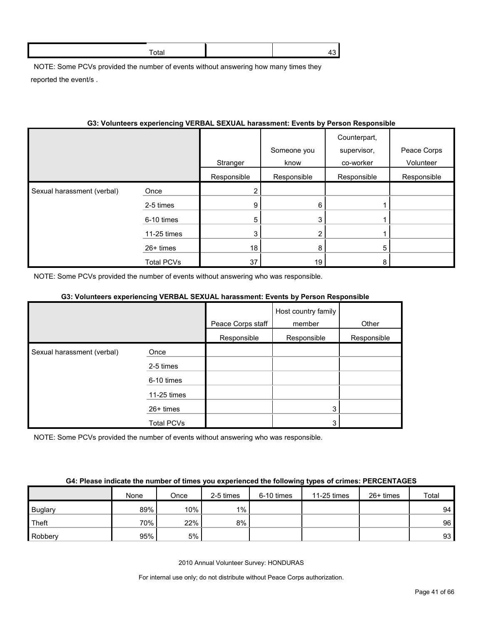NOTE: Some PCVs provided the number of events without answering how many times they reported the event/s .

| OS. VOIDINGERS EXPERIENCING VERDAL SEXUAL NATASSINGHI, EVENIS BY METSON RESPONSIBLE |             |             |                     |                                          |                          |
|-------------------------------------------------------------------------------------|-------------|-------------|---------------------|------------------------------------------|--------------------------|
|                                                                                     |             | Stranger    | Someone you<br>know | Counterpart,<br>supervisor,<br>co-worker | Peace Corps<br>Volunteer |
|                                                                                     |             | Responsible | Responsible         | Responsible                              | Responsible              |
| Sexual harassment (verbal)                                                          | Once        | 2           |                     |                                          |                          |
|                                                                                     | 2-5 times   | 9           | 6                   |                                          |                          |
|                                                                                     | 6-10 times  | 5           | 3                   |                                          |                          |
|                                                                                     | 11-25 times | 3           | $\overline{2}$      |                                          |                          |
|                                                                                     | $26+$ times | 18          | 8                   | 5                                        |                          |
|                                                                                     | Total PCVs  | 37          | 19                  | 8                                        |                          |

### **G3: Volunteers experiencing VERBAL SEXUAL harassment: Events by Person Responsible**

NOTE: Some PCVs provided the number of events without answering who was responsible.

#### **G3: Volunteers experiencing VERBAL SEXUAL harassment: Events by Person Responsible**

|                            |             |                   | Host country family |             |
|----------------------------|-------------|-------------------|---------------------|-------------|
|                            |             | Peace Corps staff | member              | Other       |
|                            |             | Responsible       | Responsible         | Responsible |
| Sexual harassment (verbal) | Once        |                   |                     |             |
|                            | 2-5 times   |                   |                     |             |
|                            | 6-10 times  |                   |                     |             |
|                            | 11-25 times |                   |                     |             |
|                            | 26+ times   |                   | 3                   |             |
|                            | Total PCVs  |                   | ົ                   |             |

NOTE: Some PCVs provided the number of events without answering who was responsible.

|         | None | Once | 2-5 times | 6-10 times | 11-25 times | $26+$ times | Total |
|---------|------|------|-----------|------------|-------------|-------------|-------|
| Buglary | 89%  | 10%  | $1\%$     |            |             |             | 94    |
| Theft   | 70%  | 22%  | $8\%$     |            |             |             | 96    |
| Robbery | 95%  | 5%   |           |            |             |             | 93    |

2010 Annual Volunteer Survey: HONDURAS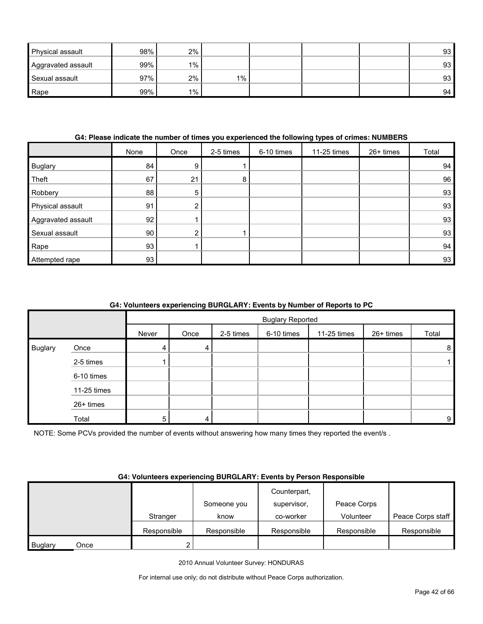| <b>Physical assault</b> | 98% | 2%    |       |  | 93 <sub>1</sub> |
|-------------------------|-----|-------|-------|--|-----------------|
| Aggravated assault      | 99% | $1\%$ |       |  | 93              |
| Sexual assault          | 97% | 2%    | $1\%$ |  | 93 <sub>1</sub> |
| Rape                    | 99% | $1\%$ |       |  | 94              |

#### **G4: Please indicate the number of times you experienced the following types of crimes: NUMBERS**

|                    | None | Once | 2-5 times | 6-10 times | 11-25 times | 26+ times | Total |
|--------------------|------|------|-----------|------------|-------------|-----------|-------|
| Buglary            | 84   | 9    |           |            |             |           | 94    |
| Theft              | 67   | 21   | 8         |            |             |           | 96    |
| Robbery            | 88   | 5    |           |            |             |           | 93    |
| Physical assault   | 91   | າ    |           |            |             |           | 93    |
| Aggravated assault | 92   |      |           |            |             |           | 93    |
| Sexual assault     | 90   | ົ    |           |            |             |           | 93    |
| Rape               | 93   |      |           |            |             |           | 94    |
| Attempted rape     | 93   |      |           |            |             |           | 93    |

#### **G4: Volunteers experiencing BURGLARY: Events by Number of Reports to PC**

|         |             |       | <b>Buglary Reported</b> |           |            |             |           |       |  |
|---------|-------------|-------|-------------------------|-----------|------------|-------------|-----------|-------|--|
|         |             | Never | Once                    | 2-5 times | 6-10 times | 11-25 times | 26+ times | Total |  |
| Buglary | Once        | 4     | 4                       |           |            |             |           | 8     |  |
|         | 2-5 times   |       |                         |           |            |             |           |       |  |
|         | 6-10 times  |       |                         |           |            |             |           |       |  |
|         | 11-25 times |       |                         |           |            |             |           |       |  |
|         | 26+ times   |       |                         |           |            |             |           |       |  |
|         | Total       | 5     | 4                       |           |            |             |           | 9     |  |

NOTE: Some PCVs provided the number of events without answering how many times they reported the event/s .

#### **G4: Volunteers experiencing BURGLARY: Events by Person Responsible**

|                |      |             |             | Counterpart, |             |                   |
|----------------|------|-------------|-------------|--------------|-------------|-------------------|
|                |      |             | Someone you | supervisor.  | Peace Corps |                   |
|                |      | Stranger    | know        | co-worker    | Volunteer   | Peace Corps staff |
|                |      | Responsible | Responsible | Responsible  | Responsible | Responsible       |
| <b>Buglary</b> | Once | 2           |             |              |             |                   |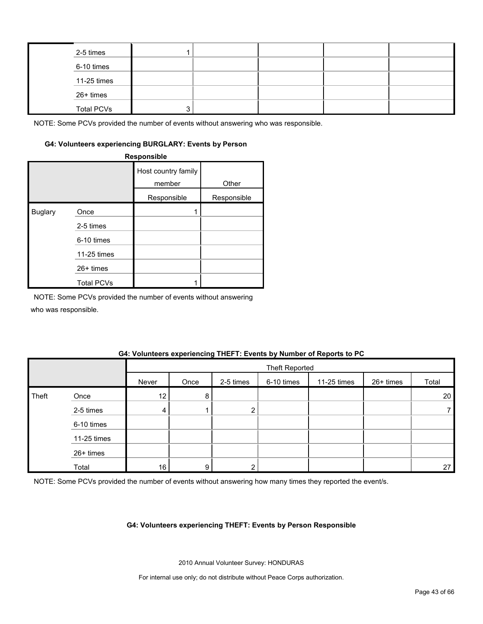| 2-5 times         |  |  |  |
|-------------------|--|--|--|
| 6-10 times        |  |  |  |
| $11-25$ times     |  |  |  |
| 26+ times         |  |  |  |
| <b>Total PCVs</b> |  |  |  |

#### **G4: Volunteers experiencing BURGLARY: Events by Person**

**Responsible**

|                |                   | Host country family<br>member | Other       |
|----------------|-------------------|-------------------------------|-------------|
|                |                   | Responsible                   | Responsible |
| <b>Buglary</b> | Once              |                               |             |
|                | 2-5 times         |                               |             |
|                | 6-10 times        |                               |             |
|                | 11-25 times       |                               |             |
|                | 26+ times         |                               |             |
|                | <b>Total PCVs</b> |                               |             |

NOTE: Some PCVs provided the number of events without answering

who was responsible.

#### **G4: Volunteers experiencing THEFT: Events by Number of Reports to PC**

|       |             |                 | <b>Theft Reported</b> |           |            |             |           |       |  |
|-------|-------------|-----------------|-----------------------|-----------|------------|-------------|-----------|-------|--|
|       |             | Never           | Once                  | 2-5 times | 6-10 times | 11-25 times | 26+ times | Total |  |
| Theft | Once        | 12 <sub>1</sub> | 8                     |           |            |             |           | 20    |  |
|       | 2-5 times   | 4               |                       | ົ         |            |             |           |       |  |
|       | 6-10 times  |                 |                       |           |            |             |           |       |  |
|       | 11-25 times |                 |                       |           |            |             |           |       |  |
|       | 26+ times   |                 |                       |           |            |             |           |       |  |
|       | Total       | 16 <sup>1</sup> | 9                     |           |            |             |           | 27    |  |

NOTE: Some PCVs provided the number of events without answering how many times they reported the event/s.

#### **G4: Volunteers experiencing THEFT: Events by Person Responsible**

2010 Annual Volunteer Survey: HONDURAS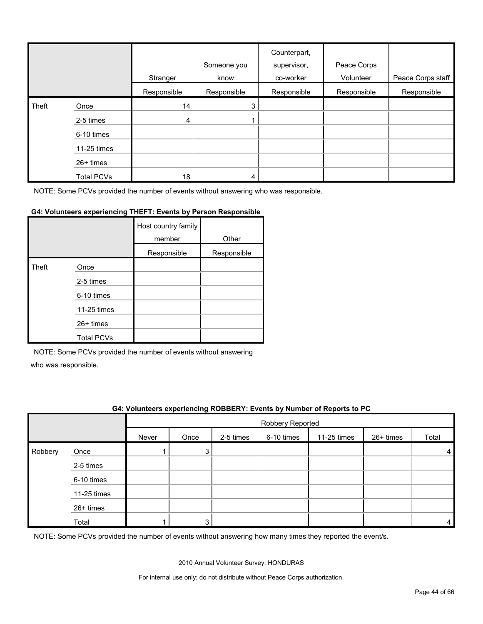|       |                   | Stranger    | Someone you<br>know | Counterpart,<br>supervisor,<br>co-worker | Peace Corps<br>Volunteer | Peace Corps staff |
|-------|-------------------|-------------|---------------------|------------------------------------------|--------------------------|-------------------|
|       |                   | Responsible | Responsible         | Responsible                              | Responsible              | Responsible       |
| Theft | Once              | 14          | 3                   |                                          |                          |                   |
|       | 2-5 times         | 4           |                     |                                          |                          |                   |
|       | 6-10 times        |             |                     |                                          |                          |                   |
|       | 11-25 times       |             |                     |                                          |                          |                   |
|       | 26+ times         |             |                     |                                          |                          |                   |
|       | <b>Total PCVs</b> | 18          | 4                   |                                          |                          |                   |

#### **G4: Volunteers experiencing THEFT: Events by Person Responsible**

|       |                   | Host country family<br>member | Other       |
|-------|-------------------|-------------------------------|-------------|
|       |                   | Responsible                   | Responsible |
| Theft | Once              |                               |             |
|       | 2-5 times         |                               |             |
|       | 6-10 times        |                               |             |
|       | 11-25 times       |                               |             |
|       | $26+$ times       |                               |             |
|       | <b>Total PCVs</b> |                               |             |

NOTE: Some PCVs provided the number of events without answering

who was responsible.

#### **G4: Volunteers experiencing ROBBERY: Events by Number of Reports to PC**

|         |             |       | Robbery Reported |           |            |             |           |       |  |
|---------|-------------|-------|------------------|-----------|------------|-------------|-----------|-------|--|
|         |             | Never | Once             | 2-5 times | 6-10 times | 11-25 times | 26+ times | Total |  |
| Robbery | Once        |       | 3                |           |            |             |           |       |  |
|         | 2-5 times   |       |                  |           |            |             |           |       |  |
|         | 6-10 times  |       |                  |           |            |             |           |       |  |
|         | 11-25 times |       |                  |           |            |             |           |       |  |
|         | 26+ times   |       |                  |           |            |             |           |       |  |
|         | Total       |       | $\sim$           |           |            |             |           | 4     |  |

NOTE: Some PCVs provided the number of events without answering how many times they reported the event/s.

2010 Annual Volunteer Survey: HONDURAS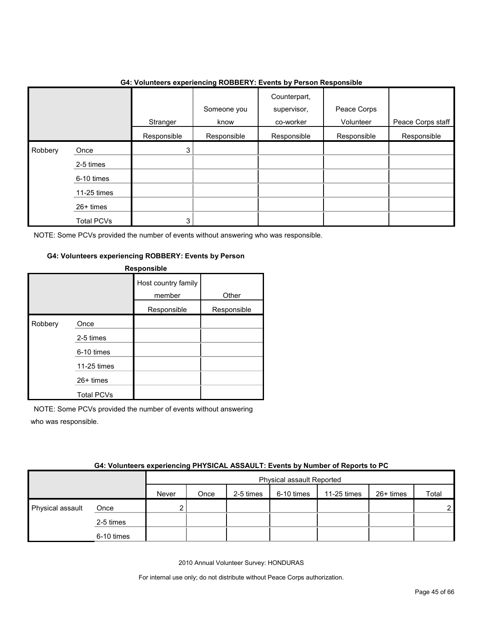|              |                   | .           | ັ                   | .<br>.                                   | .                        |                   |
|--------------|-------------------|-------------|---------------------|------------------------------------------|--------------------------|-------------------|
|              |                   | Stranger    | Someone you<br>know | Counterpart,<br>supervisor,<br>co-worker | Peace Corps<br>Volunteer | Peace Corps staff |
|              |                   | Responsible | Responsible         | Responsible                              | Responsible              | Responsible       |
| Robbery<br>I | Once              | 3           |                     |                                          |                          |                   |
|              | 2-5 times         |             |                     |                                          |                          |                   |
|              | 6-10 times        |             |                     |                                          |                          |                   |
|              | 11-25 times       |             |                     |                                          |                          |                   |
|              | 26+ times         |             |                     |                                          |                          |                   |
|              | <b>Total PCVs</b> | 3           |                     |                                          |                          |                   |

#### **G4: Volunteers experiencing ROBBERY: Events by Person Responsible**

NOTE: Some PCVs provided the number of events without answering who was responsible.

#### **G4: Volunteers experiencing ROBBERY: Events by Person**

| <b>Responsible</b> |                   |                               |             |  |  |  |
|--------------------|-------------------|-------------------------------|-------------|--|--|--|
|                    |                   | Host country family<br>member | Other       |  |  |  |
|                    |                   | Responsible                   | Responsible |  |  |  |
| Robbery            | Once              |                               |             |  |  |  |
|                    | 2-5 times         |                               |             |  |  |  |
|                    | 6-10 times        |                               |             |  |  |  |
|                    | 11-25 times       |                               |             |  |  |  |
|                    | $26+$ times       |                               |             |  |  |  |
|                    | <b>Total PCVs</b> |                               |             |  |  |  |

NOTE: Some PCVs provided the number of events without answering who was responsible.

6-10 times

|                  | <b>UTI TURNING UNDER INTERVIEW AT 1110 AND AND INTERVIEW AT NAMED OF RUDDER</b> |       |                                  |           |            |             |           |       |  |  |
|------------------|---------------------------------------------------------------------------------|-------|----------------------------------|-----------|------------|-------------|-----------|-------|--|--|
|                  |                                                                                 |       | <b>Physical assault Reported</b> |           |            |             |           |       |  |  |
|                  |                                                                                 | Never | Once                             | 2-5 times | 6-10 times | 11-25 times | 26+ times | Total |  |  |
| Physical assault | Once                                                                            |       |                                  |           |            |             |           | c     |  |  |
|                  | 2-5 times                                                                       |       |                                  |           |            |             |           |       |  |  |

#### **G4: Volunteers experiencing PHYSICAL ASSAULT: Events by Number of Reports to PC**

2010 Annual Volunteer Survey: HONDURAS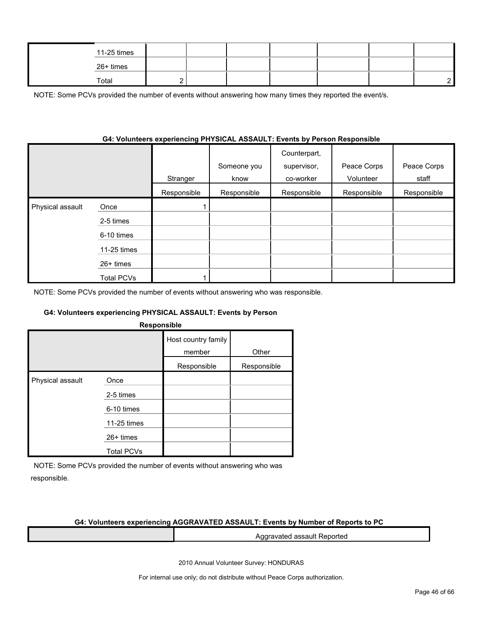|  | 11-25 times |  |  |  |  |
|--|-------------|--|--|--|--|
|  | 26+ times   |  |  |  |  |
|  | Total       |  |  |  |  |

NOTE: Some PCVs provided the number of events without answering how many times they reported the event/s.

#### **G4: Volunteers experiencing PHYSICAL ASSAULT: Events by Person Responsible**

|                  |                   | Stranger    | Someone you<br>know | Counterpart,<br>supervisor,<br>co-worker | Peace Corps<br>Volunteer | Peace Corps<br>staff |
|------------------|-------------------|-------------|---------------------|------------------------------------------|--------------------------|----------------------|
|                  |                   | Responsible | Responsible         | Responsible                              | Responsible              | Responsible          |
| Physical assault | Once              |             |                     |                                          |                          |                      |
|                  | 2-5 times         |             |                     |                                          |                          |                      |
|                  | 6-10 times        |             |                     |                                          |                          |                      |
|                  | 11-25 times       |             |                     |                                          |                          |                      |
|                  | $26+$ times       |             |                     |                                          |                          |                      |
|                  | <b>Total PCVs</b> |             |                     |                                          |                          |                      |

NOTE: Some PCVs provided the number of events without answering who was responsible.

#### **G4: Volunteers experiencing PHYSICAL ASSAULT: Events by Person**

| <b>Responsible</b> |
|--------------------|
|--------------------|

|                  |                   | Host country family<br>member | Other       |
|------------------|-------------------|-------------------------------|-------------|
|                  |                   | Responsible                   | Responsible |
| Physical assault | Once              |                               |             |
|                  | 2-5 times         |                               |             |
|                  | 6-10 times        |                               |             |
|                  | 11-25 times       |                               |             |
|                  | $26+$ times       |                               |             |
|                  | <b>Total PCVs</b> |                               |             |

NOTE: Some PCVs provided the number of events without answering who was responsible.

#### **G4: Volunteers experiencing AGGRAVATED ASSAULT: Events by Number of Reports to PC**

Aggravated assault Reported

2010 Annual Volunteer Survey: HONDURAS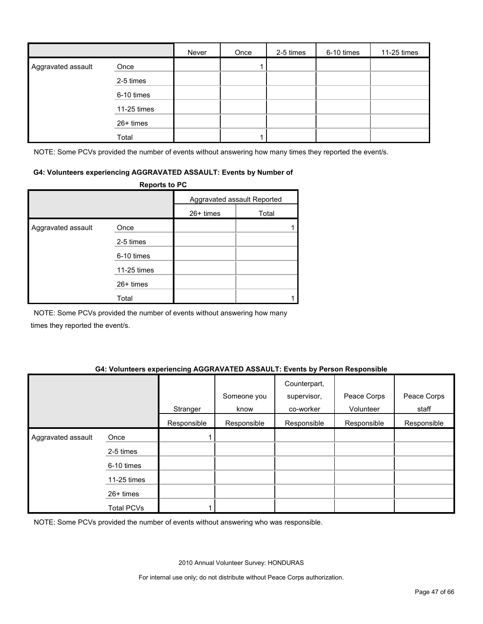|                    |             | Never | Once | 2-5 times | 6-10 times | 11-25 times |
|--------------------|-------------|-------|------|-----------|------------|-------------|
| Aggravated assault | Once        |       |      |           |            |             |
|                    | 2-5 times   |       |      |           |            |             |
|                    | 6-10 times  |       |      |           |            |             |
|                    | 11-25 times |       |      |           |            |             |
|                    | 26+ times   |       |      |           |            |             |
|                    | Total       |       |      |           |            |             |

NOTE: Some PCVs provided the number of events without answering how many times they reported the event/s.

#### **G4: Volunteers experiencing AGGRAVATED ASSAULT: Events by Number of**

|                    | <b>Reports to PC</b> |             |                             |
|--------------------|----------------------|-------------|-----------------------------|
|                    |                      |             | Aggravated assault Reported |
|                    |                      | $26+$ times | Total                       |
| Aggravated assault | Once                 |             |                             |
|                    | 2-5 times            |             |                             |
|                    | 6-10 times           |             |                             |
|                    | 11-25 times          |             |                             |
|                    | $26+$ times          |             |                             |
|                    | Total                |             |                             |

NOTE: Some PCVs provided the number of events without answering how many times they reported the event/s.

#### **G4: Volunteers experiencing AGGRAVATED ASSAULT: Events by Person Responsible**

|                    |                   | Stranger    | Someone you<br>know | Counterpart,<br>supervisor,<br>co-worker | Peace Corps<br>Volunteer | Peace Corps<br>staff |
|--------------------|-------------------|-------------|---------------------|------------------------------------------|--------------------------|----------------------|
|                    |                   | Responsible | Responsible         | Responsible                              | Responsible              | Responsible          |
| Aggravated assault | Once              |             |                     |                                          |                          |                      |
|                    | 2-5 times         |             |                     |                                          |                          |                      |
|                    | 6-10 times        |             |                     |                                          |                          |                      |
|                    | 11-25 times       |             |                     |                                          |                          |                      |
|                    | 26+ times         |             |                     |                                          |                          |                      |
|                    | <b>Total PCVs</b> |             |                     |                                          |                          |                      |

NOTE: Some PCVs provided the number of events without answering who was responsible.

2010 Annual Volunteer Survey: HONDURAS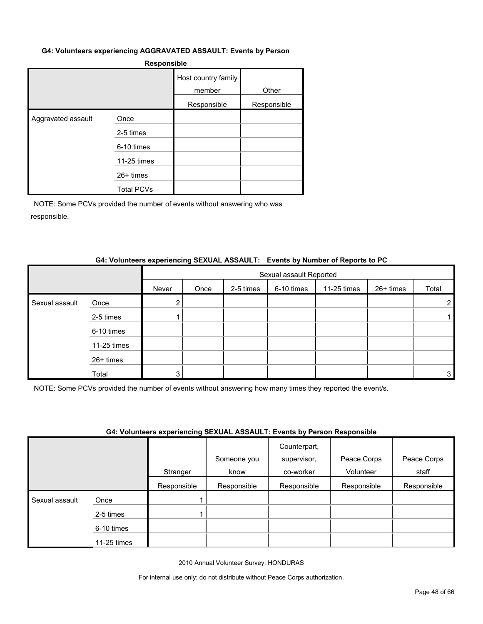#### **G4: Volunteers experiencing AGGRAVATED ASSAULT: Events by Person**

|                    |                   | Host country family<br>member | Other       |
|--------------------|-------------------|-------------------------------|-------------|
|                    |                   | Responsible                   | Responsible |
| Aggravated assault | Once              |                               |             |
|                    | 2-5 times         |                               |             |
|                    | 6-10 times        |                               |             |
|                    | 11-25 times       |                               |             |
|                    | $26+$ times       |                               |             |
|                    | <b>Total PCVs</b> |                               |             |

NOTE: Some PCVs provided the number of events without answering who was responsible.

#### **G4: Volunteers experiencing SEXUAL ASSAULT: Events by Number of Reports to PC**

|                |             |                | Sexual assault Reported |           |            |             |           |       |  |  |
|----------------|-------------|----------------|-------------------------|-----------|------------|-------------|-----------|-------|--|--|
|                |             | Never          | Once                    | 2-5 times | 6-10 times | 11-25 times | 26+ times | Total |  |  |
| Sexual assault | Once        | $\overline{2}$ |                         |           |            |             |           |       |  |  |
|                | 2-5 times   |                |                         |           |            |             |           |       |  |  |
|                | 6-10 times  |                |                         |           |            |             |           |       |  |  |
|                | 11-25 times |                |                         |           |            |             |           |       |  |  |
|                | 26+ times   |                |                         |           |            |             |           |       |  |  |
|                | Total       | 3              |                         |           |            |             |           |       |  |  |

NOTE: Some PCVs provided the number of events without answering how many times they reported the event/s.

#### **G4: Volunteers experiencing SEXUAL ASSAULT: Events by Person Responsible**

|                |             |             | Someone you | Counterpart,<br>supervisor, | Peace Corps | Peace Corps |
|----------------|-------------|-------------|-------------|-----------------------------|-------------|-------------|
|                |             | Stranger    | know        | co-worker                   | Volunteer   | staff       |
|                |             | Responsible | Responsible | Responsible                 | Responsible | Responsible |
| Sexual assault | Once        |             |             |                             |             |             |
|                | 2-5 times   |             |             |                             |             |             |
|                | 6-10 times  |             |             |                             |             |             |
|                | 11-25 times |             |             |                             |             |             |

2010 Annual Volunteer Survey: HONDURAS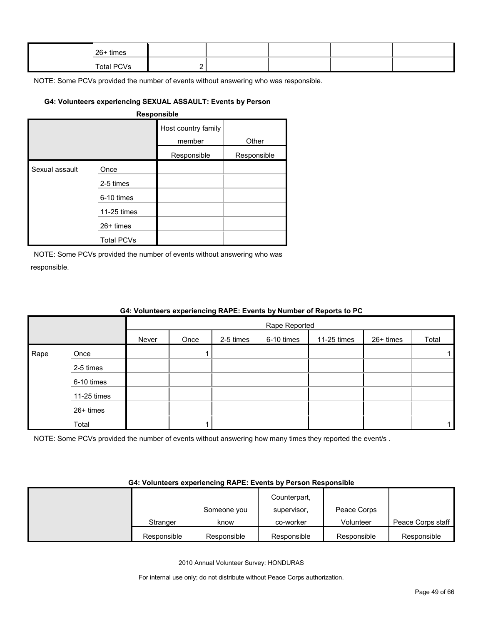| 26+ times  |  |  |  |
|------------|--|--|--|
| Total PCVs |  |  |  |

### **G4: Volunteers experiencing SEXUAL ASSAULT: Events by Person**

#### **Responsible**

|                |                   | Host country family<br>member | Other       |
|----------------|-------------------|-------------------------------|-------------|
|                |                   | Responsible                   | Responsible |
| Sexual assault | Once              |                               |             |
|                | 2-5 times         |                               |             |
|                | 6-10 times        |                               |             |
|                | 11-25 times       |                               |             |
|                | $26+$ times       |                               |             |
|                | <b>Total PCVs</b> |                               |             |

NOTE: Some PCVs provided the number of events without answering who was responsible.

|      |             |       |               |           |            | 04. VOIDINGERS EXPERIENCING KAPE. EVENS BY NUMBER OF REPORTS TO PU |           |       |  |  |
|------|-------------|-------|---------------|-----------|------------|--------------------------------------------------------------------|-----------|-------|--|--|
|      |             |       | Rape Reported |           |            |                                                                    |           |       |  |  |
|      |             | Never | Once          | 2-5 times | 6-10 times | 11-25 times                                                        | 26+ times | Total |  |  |
| Rape | Once        |       |               |           |            |                                                                    |           |       |  |  |
|      | 2-5 times   |       |               |           |            |                                                                    |           |       |  |  |
|      | 6-10 times  |       |               |           |            |                                                                    |           |       |  |  |
|      | 11-25 times |       |               |           |            |                                                                    |           |       |  |  |
|      | 26+ times   |       |               |           |            |                                                                    |           |       |  |  |
|      | Total       |       |               |           |            |                                                                    |           |       |  |  |

# **G4: Volunteers experiencing RAPE: Events by Number of Reports to PC**

NOTE: Some PCVs provided the number of events without answering how many times they reported the event/s .

#### **G4: Volunteers experiencing RAPE: Events by Person Responsible**

|             |             | Counterpart, |             |                   |
|-------------|-------------|--------------|-------------|-------------------|
|             | Someone you | supervisor.  | Peace Corps |                   |
| Stranger    | know        | co-worker    | Volunteer   | Peace Corps staff |
| Responsible | Responsible | Responsible  | Responsible | Responsible       |

2010 Annual Volunteer Survey: HONDURAS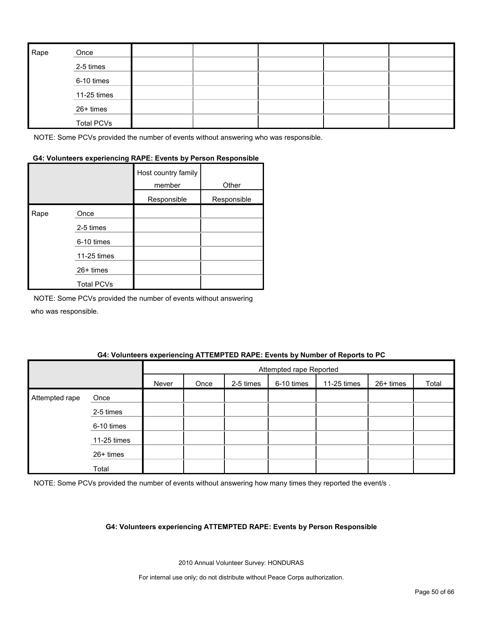| Rape | Once              |  |  |  |
|------|-------------------|--|--|--|
|      | 2-5 times         |  |  |  |
|      | 6-10 times        |  |  |  |
|      | 11-25 times       |  |  |  |
|      | 26+ times         |  |  |  |
|      | <b>Total PCVs</b> |  |  |  |

### **G4: Volunteers experiencing RAPE: Events by Person Responsible**

|      |                   | Host country family<br>member | Other       |
|------|-------------------|-------------------------------|-------------|
|      |                   | Responsible                   | Responsible |
| Rape | Once              |                               |             |
|      | 2-5 times         |                               |             |
|      | 6-10 times        |                               |             |
|      | 11-25 times       |                               |             |
|      | 26+ times         |                               |             |
|      | <b>Total PCVs</b> |                               |             |

NOTE: Some PCVs provided the number of events without answering who was responsible.

#### **G4: Volunteers experiencing ATTEMPTED RAPE: Events by Number of Reports to PC**

|                |             |       | Attempted rape Reported |           |            |             |           |       |
|----------------|-------------|-------|-------------------------|-----------|------------|-------------|-----------|-------|
|                |             | Never | Once                    | 2-5 times | 6-10 times | 11-25 times | 26+ times | Total |
| Attempted rape | Once        |       |                         |           |            |             |           |       |
|                | 2-5 times   |       |                         |           |            |             |           |       |
|                | 6-10 times  |       |                         |           |            |             |           |       |
|                | 11-25 times |       |                         |           |            |             |           |       |
|                | 26+ times   |       |                         |           |            |             |           |       |
|                | Total       |       |                         |           |            |             |           |       |

NOTE: Some PCVs provided the number of events without answering how many times they reported the event/s .

#### **G4: Volunteers experiencing ATTEMPTED RAPE: Events by Person Responsible**

2010 Annual Volunteer Survey: HONDURAS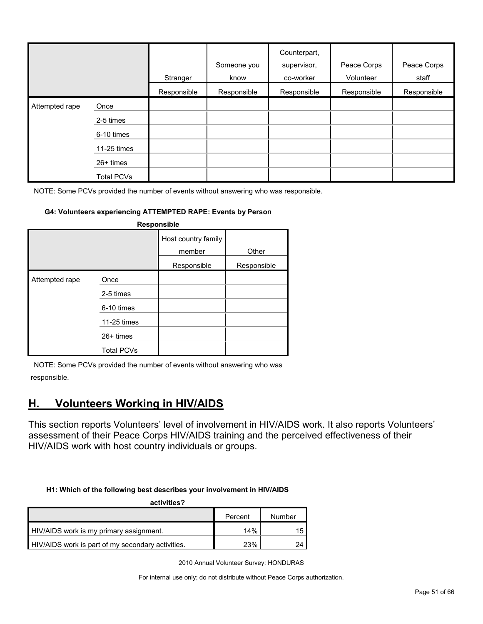|                |                   | Stranger    | Someone you<br>know | Counterpart,<br>supervisor,<br>co-worker | Peace Corps<br>Volunteer | Peace Corps<br>staff |
|----------------|-------------------|-------------|---------------------|------------------------------------------|--------------------------|----------------------|
|                |                   | Responsible | Responsible         | Responsible                              | Responsible              | Responsible          |
| Attempted rape | Once              |             |                     |                                          |                          |                      |
|                | 2-5 times         |             |                     |                                          |                          |                      |
|                | 6-10 times        |             |                     |                                          |                          |                      |
|                | 11-25 times       |             |                     |                                          |                          |                      |
|                | $26+$ times       |             |                     |                                          |                          |                      |
|                | <b>Total PCVs</b> |             |                     |                                          |                          |                      |

#### **G4: Volunteers experiencing ATTEMPTED RAPE: Events by Person**

| Responsible    |                                                               |                               |             |  |  |  |  |  |
|----------------|---------------------------------------------------------------|-------------------------------|-------------|--|--|--|--|--|
|                |                                                               | Host country family<br>member | Other       |  |  |  |  |  |
|                |                                                               | Responsible                   | Responsible |  |  |  |  |  |
| Attempted rape | Once<br>2-5 times<br>6-10 times<br>11-25 times<br>$26+$ times |                               |             |  |  |  |  |  |
|                | <b>Total PCVs</b>                                             |                               |             |  |  |  |  |  |

NOTE: Some PCVs provided the number of events without answering who was responsible.

# <span id="page-50-0"></span>**H. Volunteers Working in HIV/AIDS**

This section reports Volunteers' level of involvement in HIV/AIDS work. It also reports Volunteers' assessment of their Peace Corps HIV/AIDS training and the perceived effectiveness of their HIV/AIDS work with host country individuals or groups.

#### **H1: Which of the following best describes your involvement in HIV/AIDS**

| activities?                                       |         |        |  |  |  |  |  |
|---------------------------------------------------|---------|--------|--|--|--|--|--|
|                                                   | Percent | Number |  |  |  |  |  |
| HIV/AIDS work is my primary assignment.           | 14%     |        |  |  |  |  |  |
| HIV/AIDS work is part of my secondary activities. | 23%     |        |  |  |  |  |  |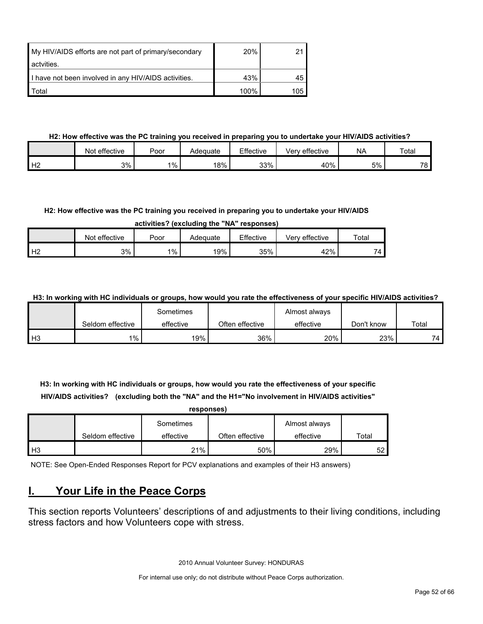| My HIV/AIDS efforts are not part of primary/secondary | <b>20%</b> |       |
|-------------------------------------------------------|------------|-------|
| actvities.                                            |            |       |
| I have not been involved in any HIV/AIDS activities.  | 43%        |       |
| Total                                                 | 100%       | 105 I |

### **H2: How effective was the PC training you received in preparing you to undertake your HIV/AIDS activities?**

|                | Not effective | Poor  | Adeɑuate | Effective | effective<br>Verv | <b>NA</b> | Total |
|----------------|---------------|-------|----------|-----------|-------------------|-----------|-------|
| H <sub>2</sub> | 3%            | $1\%$ | 18%      | 33%       | 40%               | 5%        | 78    |

#### **H2: How effective was the PC training you received in preparing you to undertake your HIV/AIDS**

**activities? (excluding the "NA" responses)**

|                | Not effective | Poor  | Adeɑuate | Effective | effective<br>verv | Totar   |
|----------------|---------------|-------|----------|-----------|-------------------|---------|
| H <sub>2</sub> | 3%            | $1\%$ | 19%      | 35%       | 42%               | -<br>′4 |

**H3: In working with HC individuals or groups, how would you rate the effectiveness of your specific HIV/AIDS activities?** 

|                |                  | Sometimes |                 | Almost always |            |       |
|----------------|------------------|-----------|-----------------|---------------|------------|-------|
|                | Seldom effective | effective | Often effective | effective     | Don't know | Total |
| H <sub>3</sub> | $1\%$ .          | 19%       | 36%             | 20%           | 23%        | 74    |

**H3: In working with HC individuals or groups, how would you rate the effectiveness of your specific HIV/AIDS activities? (excluding both the "NA" and the H1="No involvement in HIV/AIDS activities" responses)**

|                |                  | responses) |                 |               |       |
|----------------|------------------|------------|-----------------|---------------|-------|
|                |                  | Sometimes  |                 | Almost always |       |
|                | Seldom effective | effective  | Often effective | effective     | Total |
| H <sub>3</sub> |                  | 21%        | 50%             | 29%           | 52    |

NOTE: See Open-Ended Responses Report for PCV explanations and examples of their H3 answers)

# <span id="page-51-0"></span>**I. Your Life in the Peace Corps**

This section reports Volunteers' descriptions of and adjustments to their living conditions, including stress factors and how Volunteers cope with stress.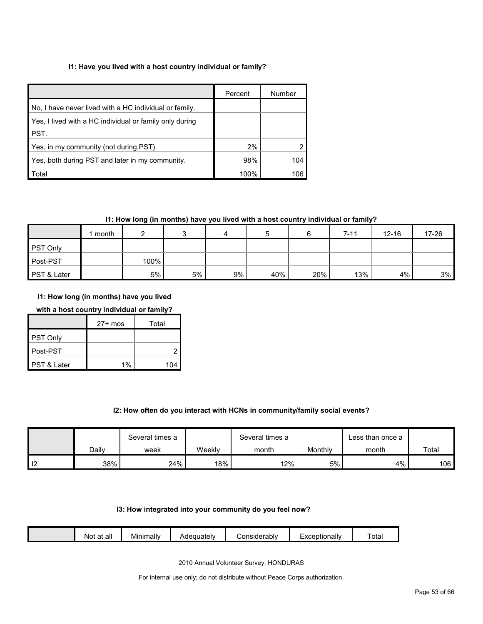#### **I1: Have you lived with a host country individual or family?**

|                                                         | Percent | Number |
|---------------------------------------------------------|---------|--------|
| No, I have never lived with a HC individual or family.  |         |        |
| Yes, I lived with a HC individual or family only during |         |        |
| <b>PST.</b>                                             |         |        |
| Yes, in my community (not during PST).                  | 2%      |        |
| Yes, both during PST and later in my community.         | 98%     | 104    |
| Total                                                   | 100%    | 106    |

#### **I1: How long (in months) have you lived with a host country individual or family?**

|                 | month |      |    |    |     |     | $7 - 11$ | $12 - 16$ | 17-26 |
|-----------------|-------|------|----|----|-----|-----|----------|-----------|-------|
| <b>PST Only</b> |       |      |    |    |     |     |          |           |       |
| Post-PST        |       | 100% |    |    |     |     |          |           |       |
| PST & Later     |       | 5%   | 5% | 9% | 40% | 20% | 13%      | 4%        | 3%    |

#### **I1: How long (in months) have you lived**

#### **with a host country individual or family?**

|             | $27+$ mos | Total |
|-------------|-----------|-------|
| PST Only    |           |       |
| Post-PST    |           |       |
| PST & Later | 1%        | 104   |

#### **I2: How often do you interact with HCNs in community/family social events?**

|    |       | Several times a |        | Several times a |         | Less than once a |       |
|----|-------|-----------------|--------|-----------------|---------|------------------|-------|
|    | Dailv | week            | Weekly | month           | Monthly | month            | Total |
| -- | 38%   | 24%             | 18%    | 12%             | 5%      | 4%               | 106   |

#### **I3: How integrated into your community do you feel now?**

| - -<br><br><br>Tota.<br>onsiderablv;<br>Adequately<br>.otionallv<br>Minimally<br>all<br>$\sim$<br>ΝΟί<br>dι<br>_ |  |
|------------------------------------------------------------------------------------------------------------------|--|
|------------------------------------------------------------------------------------------------------------------|--|

2010 Annual Volunteer Survey: HONDURAS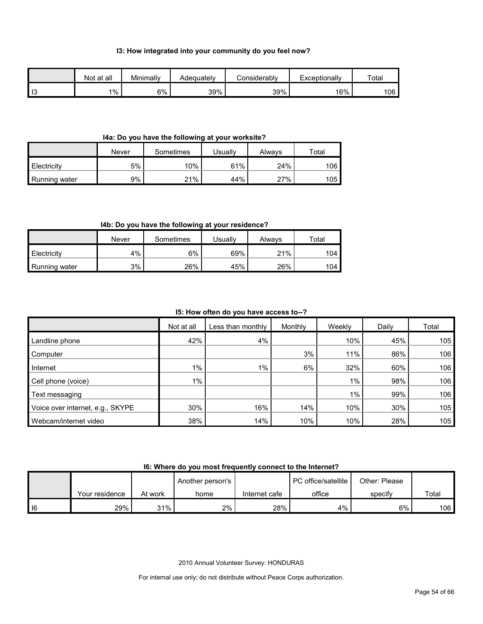#### **I3: How integrated into your community do you feel now?**

|      | Not at all | Minimally | Adeauatelv | Considerablv | Exceptionally | Total |
|------|------------|-----------|------------|--------------|---------------|-------|
| l I3 | 1%         | 6%        | 39%        | 39%          | 16%           | 106   |

#### **I4a: Do you have the following at your worksite?**

|               | Never | Sometimes | <b>Jsually</b> | Always | $\tau$ otal |
|---------------|-------|-----------|----------------|--------|-------------|
| Electricity   | 5%    | $10\%$    | 61%            | 24%    | 106         |
| Running water | 9%    | 21%       | 44%            | 27%    | 105         |

#### **I4b: Do you have the following at your residence?**

|               | Never | Sometimes | Jsuallv | Always | ™otal |
|---------------|-------|-----------|---------|--------|-------|
| Electricity   | 4%    | 6%        | 69%     | 21%    | 104   |
| Running water | 3%    | 26%       | 45%     | 26%    | 104   |

#### **I5: How often do you have access to--?**

|                                  | Not at all | Less than monthly | Monthly | Weekly | Daily | Total |
|----------------------------------|------------|-------------------|---------|--------|-------|-------|
| Landline phone                   | 42%        | 4%                |         | 10%    | 45%   | 105   |
| Computer                         |            |                   | 3%      | 11%    | 86%   | 106   |
| Internet                         | $1\%$      | $1\%$             | 6%      | 32%    | 60%   | 106   |
| Cell phone (voice)               | $1\%$      |                   |         | 1%     | 98%   | 106   |
| Text messaging                   |            |                   |         | $1\%$  | 99%   | 106   |
| Voice over internet, e.g., SKYPE | 30%        | 16%               | 14%     | 10%    | 30%   | 105   |
| Webcam/internet video            | 38%        | 14%               | 10%     | 10%    | 28%   | 105   |

#### **I6: Where do you most frequently connect to the Internet?**

|      |                |         | Another person's |               | <b>PC</b> office/satellite | Other: Please |       |
|------|----------------|---------|------------------|---------------|----------------------------|---------------|-------|
|      | Your residence | At work | home             | Internet cafe | office                     | specify       | Total |
| l 16 | 29%            | 31%     | 2%               | 28%           | $4\%$                      | 6%            | 106   |

2010 Annual Volunteer Survey: HONDURAS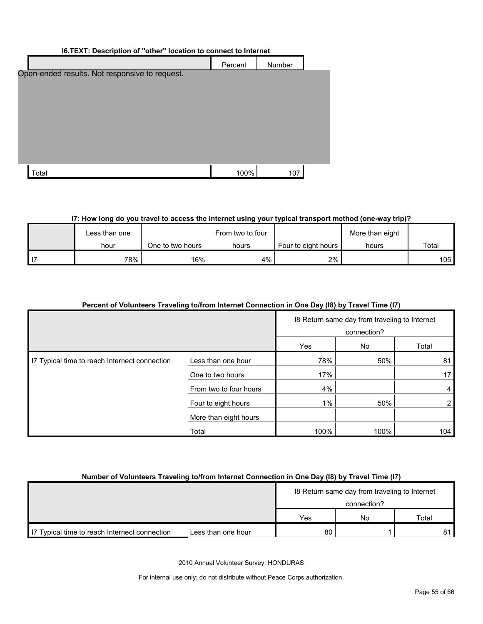| I6.TEXT: Description of "other" location to connect to Internet |         |        |  |  |  |  |
|-----------------------------------------------------------------|---------|--------|--|--|--|--|
|                                                                 | Percent | Number |  |  |  |  |
| Open-ended results. Not responsive to request.                  |         |        |  |  |  |  |
| Total                                                           | 100%    | 107    |  |  |  |  |

### **I7: How long do you travel to access the internet using your typical transport method (one-way trip)?**

|      | Less than one |                  | From two to four | More than eight       |       |       |
|------|---------------|------------------|------------------|-----------------------|-------|-------|
|      | hour          | One to two hours | hours            | Four to eight hours I | hours | Total |
| l 17 | 78%           | 16%              | 4%               | $2\%$                 |       | 105   |

# **Percent of Volunteers Traveling to/from Internet Connection in One Day (I8) by Travel Time (I7)**

|                                               |                        | 18 Return same day from traveling to Internet<br>connection? |      |       |
|-----------------------------------------------|------------------------|--------------------------------------------------------------|------|-------|
|                                               |                        | Yes                                                          | No   | Total |
| I7 Typical time to reach Internect connection | Less than one hour     | 78%                                                          | 50%  | 81    |
|                                               | One to two hours       | 17%                                                          |      | 17    |
|                                               | From two to four hours | 4%                                                           |      | 4     |
|                                               | Four to eight hours    | $1\%$                                                        | 50%  | 2     |
|                                               | More than eight hours  |                                                              |      |       |
|                                               | Total                  | 100%                                                         | 100% | 104   |

#### **Number of Volunteers Traveling to/from Internet Connection in One Day (I8) by Travel Time (I7)**

|                                               |                    | 18 Return same day from traveling to Internet |    |       |
|-----------------------------------------------|--------------------|-----------------------------------------------|----|-------|
|                                               |                    | connection?                                   |    |       |
|                                               |                    | Yes                                           | No | Total |
| IT Typical time to reach Internect connection | Less than one hour | 80                                            |    | 81    |

2010 Annual Volunteer Survey: HONDURAS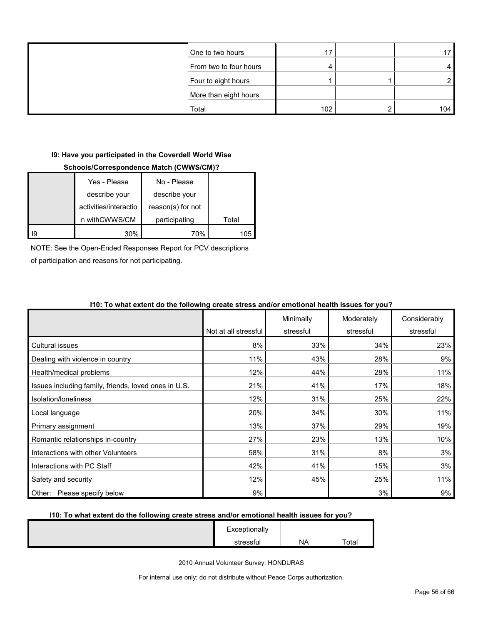| One to two hours       |     |   |     |
|------------------------|-----|---|-----|
| From two to four hours |     |   |     |
| Four to eight hours    |     |   |     |
| More than eight hours  |     |   |     |
| Total                  | 102 | ⌒ | 104 |

#### **I9: Have you participated in the Coverdell World Wise**

#### **Schools/Correspondence Match (CWWS/CM)?**

|    | Yes - Please          | No - Please       |       |
|----|-----------------------|-------------------|-------|
|    | describe your         | describe your     |       |
|    | activities/interactio | reason(s) for not |       |
|    | n withCWWS/CM         | participating     | Total |
| 19 | 30%                   | 70%               | 105   |

NOTE: See the Open-Ended Responses Report for PCV descriptions

of participation and reasons for not participating.

|                                                      | Not at all stressful | Minimally<br>stressful | Moderately<br>stressful | Considerably<br>stressful |
|------------------------------------------------------|----------------------|------------------------|-------------------------|---------------------------|
| <b>Cultural issues</b>                               | 8%                   | 33%                    | 34%                     | 23%                       |
| Dealing with violence in country                     | 11%                  | 43%                    | 28%                     | 9%                        |
| Health/medical problems                              | 12%                  | 44%                    | 28%                     | 11%                       |
| Issues including family, friends, loved ones in U.S. | 21%                  | 41%                    | 17%                     | 18%                       |
| Isolation/loneliness                                 | 12%                  | 31%                    | 25%                     | 22%                       |
| Local language                                       | 20%                  | 34%                    | 30%                     | 11%                       |
| Primary assignment                                   | 13%                  | 37%                    | 29%                     | 19%                       |
| Romantic relationships in-country                    | 27%                  | 23%                    | 13%                     | 10%                       |
| Interactions with other Volunteers                   | 58%                  | 31%                    | 8%                      | 3%                        |
| Interactions with PC Staff                           | 42%                  | 41%                    | 15%                     | 3%                        |
| Safety and security                                  | 12%                  | 45%                    | 25%                     | 11%                       |
| Please specify below<br>Other:                       | 9%                   |                        | 3%                      | 9%                        |

#### **I10: To what extent do the following create stress and/or emotional health issues for you?**

#### **I10: To what extent do the following create stress and/or emotional health issues for you?**

| Exceptionally |    |       |
|---------------|----|-------|
| stressful     | NA | Total |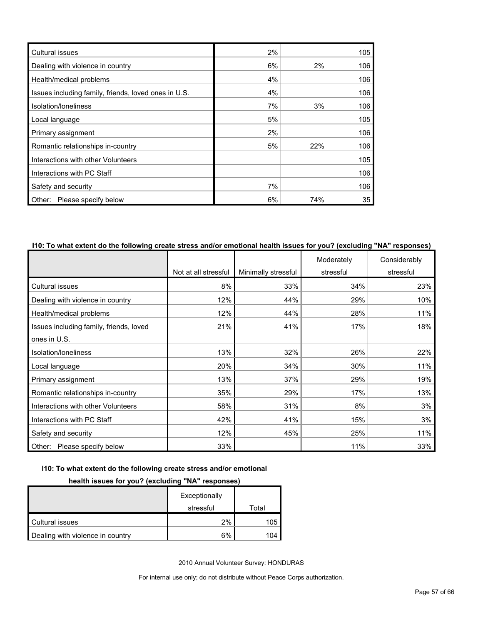| <b>Cultural issues</b>                               | 2% |       | 105 |
|------------------------------------------------------|----|-------|-----|
| Dealing with violence in country                     | 6% | $2\%$ | 106 |
| Health/medical problems                              | 4% |       | 106 |
| Issues including family, friends, loved ones in U.S. | 4% |       | 106 |
| Isolation/loneliness                                 | 7% | 3%    | 106 |
| Local language                                       | 5% |       | 105 |
| Primary assignment                                   | 2% |       | 106 |
| Romantic relationships in-country                    | 5% | 22%   | 106 |
| Interactions with other Volunteers                   |    |       | 105 |
| Interactions with PC Staff                           |    |       | 106 |
| Safety and security                                  | 7% |       | 106 |
| Other: Please specify below                          | 6% | 74%   | 35  |

#### **I10: To what extent do the following create stress and/or emotional health issues for you? (excluding "NA" responses)**

|                                         |                      |                     | Moderately | Considerably |
|-----------------------------------------|----------------------|---------------------|------------|--------------|
|                                         | Not at all stressful | Minimally stressful | stressful  | stressful    |
| <b>Cultural issues</b>                  | 8%                   | 33%                 | 34%        | 23%          |
| Dealing with violence in country        | 12%                  | 44%                 | 29%        | 10%          |
| Health/medical problems                 | 12%                  | 44%                 | 28%        | 11%          |
| Issues including family, friends, loved | 21%                  | 41%                 | 17%        | 18%          |
| ones in U.S.                            |                      |                     |            |              |
| Isolation/loneliness                    | 13%                  | 32%                 | 26%        | 22%          |
| Local language                          | 20%                  | 34%                 | 30%        | 11%          |
| Primary assignment                      | 13%                  | 37%                 | 29%        | 19%          |
| Romantic relationships in-country       | 35%                  | 29%                 | 17%        | 13%          |
| Interactions with other Volunteers      | 58%                  | 31%                 | 8%         | 3%           |
| Interactions with PC Staff              | 42%                  | 41%                 | 15%        | 3%           |
| Safety and security                     | 12%                  | 45%                 | 25%        | 11%          |
| Other: Please specify below             | 33%                  |                     | 11%        | 33%          |

#### **I10: To what extent do the following create stress and/or emotional**

#### **health issues for you? (excluding "NA" responses)**

|                                  | Exceptionally |       |
|----------------------------------|---------------|-------|
|                                  | stressful     | Total |
| Cultural issues                  | 2%            | 105   |
| Dealing with violence in country | 6%            | 104   |

2010 Annual Volunteer Survey: HONDURAS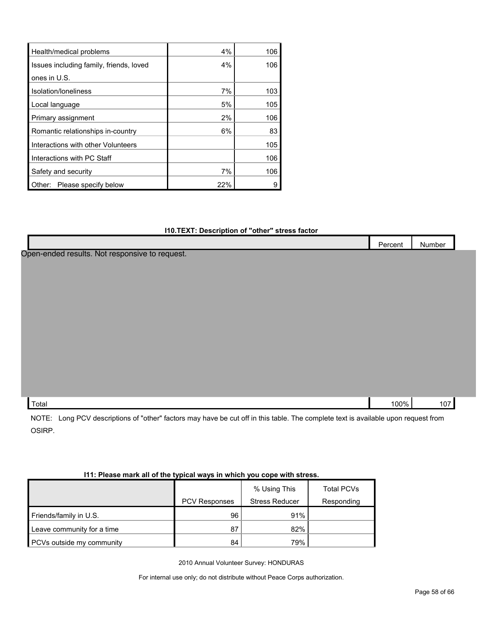| Health/medical problems                 | 4%    | 106 |
|-----------------------------------------|-------|-----|
| Issues including family, friends, loved | $4\%$ | 106 |
| ones in U.S.                            |       |     |
| Isolation/Ioneliness                    | 7%    | 103 |
| Local language                          | 5%    | 105 |
| Primary assignment                      | 2%    | 106 |
| Romantic relationships in-country       | 6%    | 83  |
| Interactions with other Volunteers      |       | 105 |
| Interactions with PC Staff              |       | 106 |
| Safety and security                     | 7%    | 106 |
| Please specify below<br>Other:          | 22%   |     |

#### **I10.TEXT: Description of "other" stress factor**

|      | Number  |
|------|---------|
|      |         |
|      |         |
|      |         |
|      |         |
|      |         |
|      |         |
|      |         |
|      |         |
|      |         |
|      |         |
|      |         |
|      |         |
| 100% | 107     |
|      | Percent |

NOTE: Long PCV descriptions of "other" factors may have be cut off in this table. The complete text is available upon request from OSIRP.

| TEL. FIBASE MAIN AN UN LITE LYDIGAI WAYS IN WHIGH YOU CODE WILLI SUBSS. |                      |                       |                   |  |  |  |  |  |
|-------------------------------------------------------------------------|----------------------|-----------------------|-------------------|--|--|--|--|--|
|                                                                         |                      | % Using This          | <b>Total PCVs</b> |  |  |  |  |  |
|                                                                         | <b>PCV Responses</b> | <b>Stress Reducer</b> | Responding        |  |  |  |  |  |
| Friends/family in U.S.                                                  | 96                   | 91%                   |                   |  |  |  |  |  |
| Leave community for a time                                              | 87                   | 82%                   |                   |  |  |  |  |  |
| <b>PCVs outside my community</b>                                        | 84                   | 79%                   |                   |  |  |  |  |  |

### **I11: Please mark all of the typical ways in which you cope with stress.**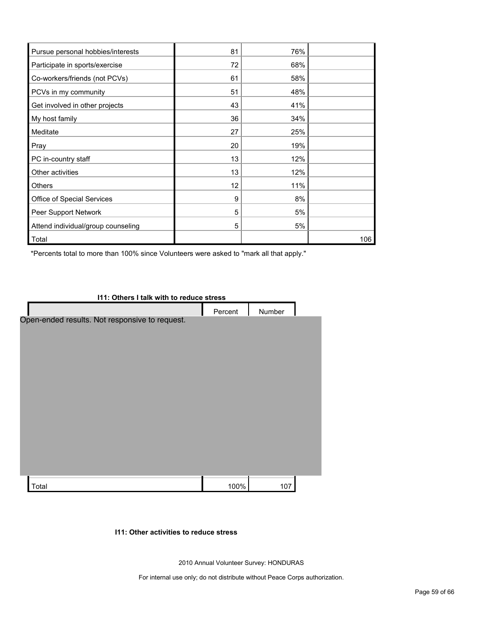| Pursue personal hobbies/interests  | 81 | 76% |     |
|------------------------------------|----|-----|-----|
| Participate in sports/exercise     | 72 | 68% |     |
| Co-workers/friends (not PCVs)      | 61 | 58% |     |
| PCVs in my community               | 51 | 48% |     |
| Get involved in other projects     | 43 | 41% |     |
| My host family                     | 36 | 34% |     |
| Meditate                           | 27 | 25% |     |
| Pray                               | 20 | 19% |     |
| PC in-country staff                | 13 | 12% |     |
| Other activities                   | 13 | 12% |     |
| <b>Others</b>                      | 12 | 11% |     |
| Office of Special Services         | 9  | 8%  |     |
| Peer Support Network               | 5  | 5%  |     |
| Attend individual/group counseling | 5  | 5%  |     |
| Total                              |    |     | 106 |

\*Percents total to more than 100% since Volunteers were asked to "mark all that apply."

| I11: Others I talk with to reduce stress       |         |        |  |  |  |
|------------------------------------------------|---------|--------|--|--|--|
|                                                | Percent | Number |  |  |  |
| Open-ended results. Not responsive to request. |         |        |  |  |  |
|                                                |         |        |  |  |  |
|                                                |         |        |  |  |  |
| Total                                          | 100%    | 107    |  |  |  |

#### **I11: Other activities to reduce stress**

2010 Annual Volunteer Survey: HONDURAS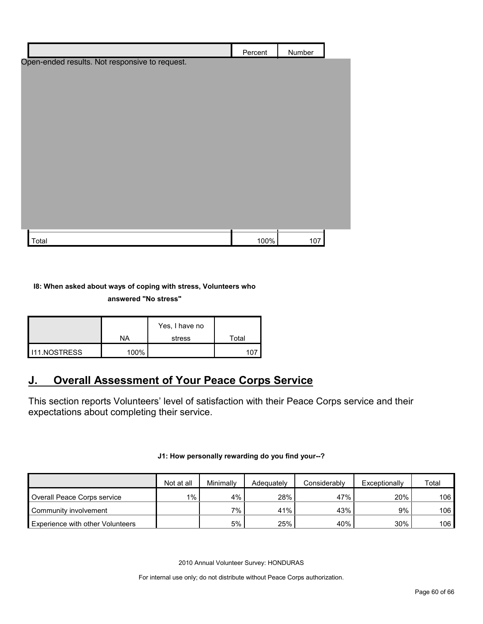|                                                | Percent | Number |  |
|------------------------------------------------|---------|--------|--|
| Open-ended results. Not responsive to request. |         |        |  |
|                                                |         |        |  |
|                                                |         |        |  |
|                                                |         |        |  |
|                                                |         |        |  |
|                                                |         |        |  |
|                                                |         |        |  |
|                                                |         |        |  |
|                                                |         |        |  |
|                                                |         |        |  |
|                                                |         |        |  |
|                                                |         |        |  |
|                                                |         |        |  |
| Total                                          | 100%    | 107    |  |

#### **I8: When asked about ways of coping with stress, Volunteers who**

#### **answered "No stress"**

|                       |           | Yes, I have no |       |
|-----------------------|-----------|----------------|-------|
|                       | <b>NA</b> | stress         | Total |
| <b>I</b> I11.NOSTRESS | 100%      |                |       |

# <span id="page-59-0"></span>**J. Overall Assessment of Your Peace Corps Service**

This section reports Volunteers' level of satisfaction with their Peace Corps service and their expectations about completing their service.

#### **J1: How personally rewarding do you find your--?**

|                                         | Not at all | Minimally | Adequately | Considerably | Exceptionally | Total |
|-----------------------------------------|------------|-----------|------------|--------------|---------------|-------|
| Overall Peace Corps service             | $1\%$ .    | 4%        | 28%        | 47%          | 20%           | 106   |
| Community involvement                   |            | $7\%$     | 41%        | 43%          | 9%            | 106   |
| <b>Experience with other Volunteers</b> |            | 5%        | 25%        | 40%          | 30%           | 106   |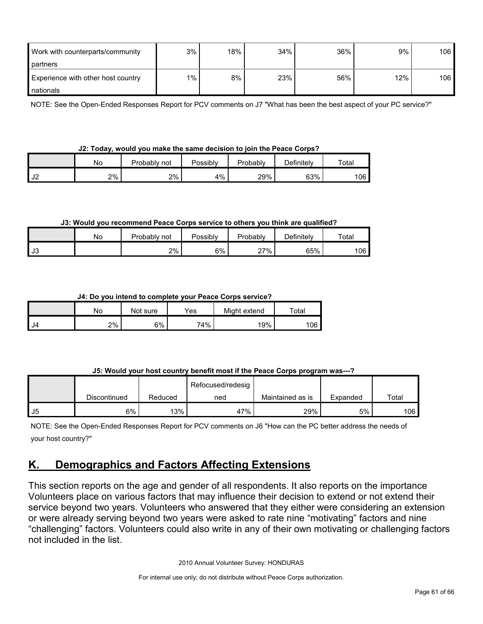| Work with counterparts/community   | 3%    | 18% | 34% | 36% | 9%  | 106 |
|------------------------------------|-------|-----|-----|-----|-----|-----|
| partners                           |       |     |     |     |     |     |
| Experience with other host country | $1\%$ | 8%  | 23% | 56% | 12% | 106 |
| nationals                          |       |     |     |     |     |     |

NOTE: See the Open-Ended Responses Report for PCV comments on J7 "What has been the best aspect of your PC service?"

|  | J2: Today, would you make the same decision to join the Peace Corps? |  |  |  |  |  |
|--|----------------------------------------------------------------------|--|--|--|--|--|
|  |                                                                      |  |  |  |  |  |

|                                  | Nο | Probablv<br>not | Possibly | Probably | Definitely | Totai |  |
|----------------------------------|----|-----------------|----------|----------|------------|-------|--|
| $\overline{\phantom{a}}$<br>∠∪ י | 2% | 2%              | 4%       | 29%      | 63%        | 106   |  |

#### **J3: Would you recommend Peace Corps service to others you think are qualified?**

|                         | No | Probably not | Possibly | Probably | Definitelv | Total |
|-------------------------|----|--------------|----------|----------|------------|-------|
| $\overline{ }$<br>- ს ა |    | 2%           | 6%       | 27%      | 65%        | 106 l |

#### **J4: Do you intend to complete your Peace Corps service?**

|      | No | Not sure | Yes | Might extend | Total |
|------|----|----------|-----|--------------|-------|
| l J4 | 2% | 6%       | 74% | 19%          | 106   |

#### **J5: Would your host country benefit most if the Peace Corps program was---?**

|    |              |         | Refocused/redesig |                  |          |                  |
|----|--------------|---------|-------------------|------------------|----------|------------------|
|    | Discontinued | Reduced | ned               | Maintained as is | Expanded | Total            |
| J5 | 6%           | 13%     | 47%               | 29%              | 5%       | 106 <sub>l</sub> |

NOTE: See the Open-Ended Responses Report for PCV comments on J6 "How can the PC better address the needs of your host country?"

# <span id="page-60-0"></span>**K. Demographics and Factors Affecting Extensions**

This section reports on the age and gender of all respondents. It also reports on the importance Volunteers place on various factors that may influence their decision to extend or not extend their service beyond two years. Volunteers who answered that they either were considering an extension or were already serving beyond two years were asked to rate nine "motivating" factors and nine "challenging" factors. Volunteers could also write in any of their own motivating or challenging factors not included in the list.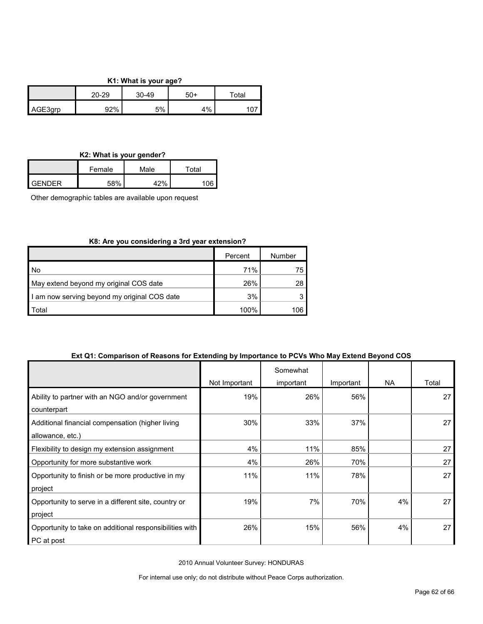#### **K1: What is your age?**

|         | 20-29 | 30-49 | 50+   | $\tau$ otar |
|---------|-------|-------|-------|-------------|
| AGE3qrp | 92%   | 5%    | $1\%$ |             |

#### **K2: What is your gender?**

|            | Female | Male | ™otal |
|------------|--------|------|-------|
| $I$ GENDER | 58%    | 1701 | 10G   |

Other demographic tables are available upon request

#### **K8: Are you considering a 3rd year extension?**

|                                              | Percent | Number |
|----------------------------------------------|---------|--------|
| No                                           | 71%     | 75     |
| May extend beyond my original COS date       | 26%     | 28     |
| I am now serving beyond my original COS date | 3%      |        |
| Total                                        | 100%    | 106    |

#### **Ext Q1: Comparison of Reasons for Extending by Importance to PCVs Who May Extend Beyond COS**

|                                                         |               | Somewhat  |           |    |       |
|---------------------------------------------------------|---------------|-----------|-----------|----|-------|
|                                                         | Not Important | important | Important | NA | Total |
| Ability to partner with an NGO and/or government        | 19%           | 26%       | 56%       |    | 27    |
| counterpart                                             |               |           |           |    |       |
| Additional financial compensation (higher living        | 30%           | 33%       | 37%       |    | 27    |
| allowance, etc.)                                        |               |           |           |    |       |
| Flexibility to design my extension assignment           | 4%            | 11%       | 85%       |    | 27    |
| Opportunity for more substantive work                   | 4%            | 26%       | 70%       |    | 27    |
| Opportunity to finish or be more productive in my       | 11%           | 11%       | 78%       |    | 27    |
| project                                                 |               |           |           |    |       |
| Opportunity to serve in a different site, country or    | 19%           | 7%        | 70%       | 4% | 27    |
| project                                                 |               |           |           |    |       |
| Opportunity to take on additional responsibilities with | 26%           | 15%       | 56%       | 4% | 27    |
| PC at post                                              |               |           |           |    |       |

2010 Annual Volunteer Survey: HONDURAS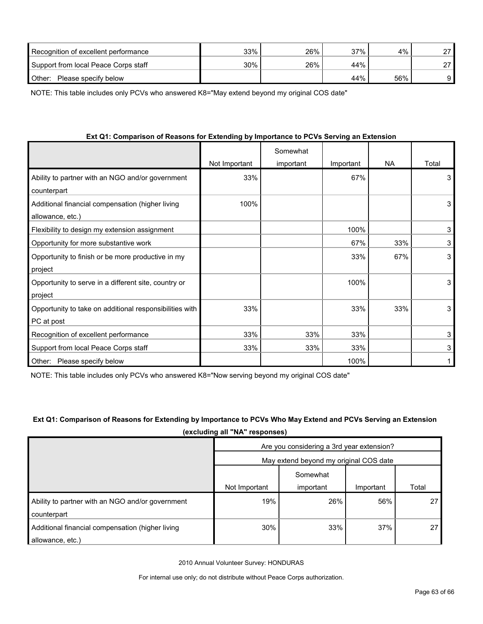| Recognition of excellent performance | 33% | 26% | 37% | 4%  | 27 |
|--------------------------------------|-----|-----|-----|-----|----|
| Support from local Peace Corps staff | 30% | 26% | 44% |     | דר |
| Other:<br>Please specify below       |     |     | 44% | 56% |    |

NOTE: This table includes only PCVs who answered K8="May extend beyond my original COS date"

| Ext Q1: Comparison of Reasons for Extending by Importance to PCVs Serving an Extension |  |  |
|----------------------------------------------------------------------------------------|--|--|
|                                                                                        |  |  |
|                                                                                        |  |  |

|                                                         |               | Somewhat  |           |           |       |
|---------------------------------------------------------|---------------|-----------|-----------|-----------|-------|
|                                                         | Not Important | important | Important | <b>NA</b> | Total |
| Ability to partner with an NGO and/or government        | 33%           |           | 67%       |           | 3     |
| counterpart                                             |               |           |           |           |       |
| Additional financial compensation (higher living        | 100%          |           |           |           | 3     |
| allowance, etc.)                                        |               |           |           |           |       |
| Flexibility to design my extension assignment           |               |           | 100%      |           | 3     |
| Opportunity for more substantive work                   |               |           | 67%       | 33%       | 3     |
| Opportunity to finish or be more productive in my       |               |           | 33%       | 67%       | 3     |
| project                                                 |               |           |           |           |       |
| Opportunity to serve in a different site, country or    |               |           | 100%      |           | 3     |
| project                                                 |               |           |           |           |       |
| Opportunity to take on additional responsibilities with | 33%           |           | 33%       | 33%       | 3     |
| PC at post                                              |               |           |           |           |       |
| Recognition of excellent performance                    | 33%           | 33%       | 33%       |           | 3     |
| Support from local Peace Corps staff                    | 33%           | 33%       | 33%       |           | 3     |
| Please specify below<br>Other:                          |               |           | 100%      |           |       |

NOTE: This table includes only PCVs who answered K8="Now serving beyond my original COS date"

### **Ext Q1: Comparison of Reasons for Extending by Importance to PCVs Who May Extend and PCVs Serving an Extension (excluding all "NA" responses)**

|                                                  | Are you considering a 3rd year extension? |           |           |       |  |  |
|--------------------------------------------------|-------------------------------------------|-----------|-----------|-------|--|--|
|                                                  | May extend beyond my original COS date    |           |           |       |  |  |
|                                                  |                                           | Somewhat  |           |       |  |  |
|                                                  | Not Important                             | important | Important | Total |  |  |
| Ability to partner with an NGO and/or government | 19%                                       | 26%       | 56%       | 27    |  |  |
| counterpart                                      |                                           |           |           |       |  |  |
| Additional financial compensation (higher living | 30%                                       | 33%       | 37%       | 27    |  |  |
| allowance, etc.)                                 |                                           |           |           |       |  |  |

2010 Annual Volunteer Survey: HONDURAS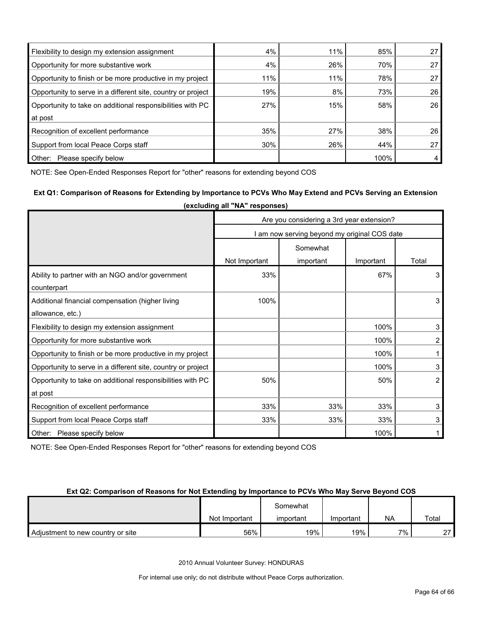| Flexibility to design my extension assignment                | 4%  | 11% | 85%  | 27 |
|--------------------------------------------------------------|-----|-----|------|----|
| Opportunity for more substantive work                        | 4%  | 26% | 70%  | 27 |
| Opportunity to finish or be more productive in my project    | 11% | 11% | 78%  | 27 |
| Opportunity to serve in a different site, country or project | 19% | 8%  | 73%  | 26 |
| Opportunity to take on additional responsibilities with PC   | 27% | 15% | 58%  | 26 |
| at post                                                      |     |     |      |    |
| Recognition of excellent performance                         | 35% | 27% | 38%  | 26 |
| Support from local Peace Corps staff                         | 30% | 26% | 44%  | 27 |
| Other:<br>Please specify below                               |     |     | 100% | 4  |

NOTE: See Open-Ended Responses Report for "other" reasons for extending beyond COS

### **Ext Q1: Comparison of Reasons for Extending by Importance to PCVs Who May Extend and PCVs Serving an Extension (excluding all "NA" responses)**

|                                                              | Are you considering a 3rd year extension?    |           |           |       |  |
|--------------------------------------------------------------|----------------------------------------------|-----------|-----------|-------|--|
|                                                              | I am now serving beyond my original COS date |           |           |       |  |
|                                                              | Somewhat                                     |           |           |       |  |
|                                                              | Not Important                                | important | Important | Total |  |
| Ability to partner with an NGO and/or government             | 33%                                          |           | 67%       | 3     |  |
| counterpart                                                  |                                              |           |           |       |  |
| Additional financial compensation (higher living             | 100%                                         |           |           | 3     |  |
| allowance, etc.)                                             |                                              |           |           |       |  |
| Flexibility to design my extension assignment                |                                              |           | 100%      | 3     |  |
| Opportunity for more substantive work                        |                                              |           | 100%      | 2     |  |
| Opportunity to finish or be more productive in my project    |                                              |           | 100%      |       |  |
| Opportunity to serve in a different site, country or project |                                              |           | 100%      | 3     |  |
| Opportunity to take on additional responsibilities with PC   | 50%                                          |           | 50%       | 2     |  |
| at post                                                      |                                              |           |           |       |  |
| Recognition of excellent performance                         | 33%                                          | 33%       | 33%       | 3     |  |
| Support from local Peace Corps staff                         | 33%                                          | 33%       | 33%       | 3     |  |
| Other: Please specify below                                  |                                              |           | 100%      |       |  |

NOTE: See Open-Ended Responses Report for "other" reasons for extending beyond COS

#### **Ext Q2: Comparison of Reasons for Not Extending by Importance to PCVs Who May Serve Beyond COS**

|                                   |               | Somewhat  |           |      |        |
|-----------------------------------|---------------|-----------|-----------|------|--------|
|                                   | Not Important | important | Important | NA   | Total  |
| Adjustment to new country or site | 56%           | 19%       | 19%       | 7% . | $\sim$ |

2010 Annual Volunteer Survey: HONDURAS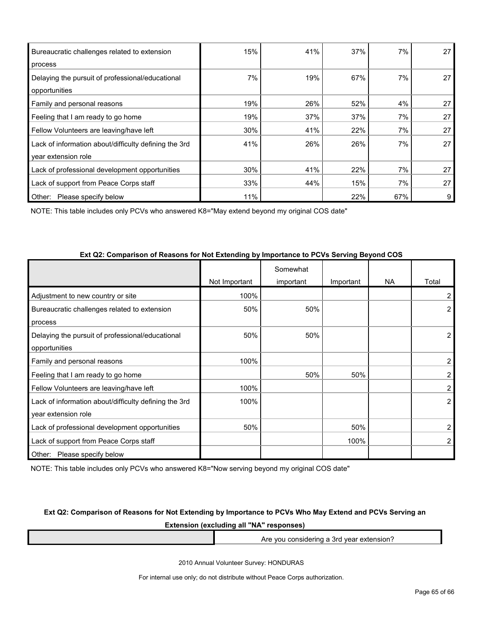| Bureaucratic challenges related to extension          | 15% | 41% | 37% | 7%  | 27 |
|-------------------------------------------------------|-----|-----|-----|-----|----|
| process                                               |     |     |     |     |    |
| Delaying the pursuit of professional/educational      | 7%  | 19% | 67% | 7%  | 27 |
| opportunities                                         |     |     |     |     |    |
| Family and personal reasons                           | 19% | 26% | 52% | 4%  | 27 |
| Feeling that I am ready to go home                    | 19% | 37% | 37% | 7%  | 27 |
| Fellow Volunteers are leaving/have left               | 30% | 41% | 22% | 7%  | 27 |
| Lack of information about/difficulty defining the 3rd | 41% | 26% | 26% | 7%  | 27 |
| year extension role                                   |     |     |     |     |    |
| Lack of professional development opportunities        | 30% | 41% | 22% | 7%  | 27 |
| Lack of support from Peace Corps staff                | 33% | 44% | 15% | 7%  | 27 |
| Other:<br>Please specify below                        | 11% |     | 22% | 67% | 9  |

NOTE: This table includes only PCVs who answered K8="May extend beyond my original COS date"

|                                                       | Not Important | Somewhat<br>important | Important | <b>NA</b> | Total          |
|-------------------------------------------------------|---------------|-----------------------|-----------|-----------|----------------|
|                                                       |               |                       |           |           |                |
| Adjustment to new country or site                     | 100%          |                       |           |           | 2              |
| Bureaucratic challenges related to extension          | 50%           | 50%                   |           |           | 2              |
| process                                               |               |                       |           |           |                |
| Delaying the pursuit of professional/educational      | 50%           | 50%                   |           |           | 2              |
| opportunities                                         |               |                       |           |           |                |
| Family and personal reasons                           | 100%          |                       |           |           | $\overline{2}$ |
| Feeling that I am ready to go home                    |               | 50%                   | 50%       |           | $\overline{2}$ |
| Fellow Volunteers are leaving/have left               | 100%          |                       |           |           | $\overline{2}$ |
| Lack of information about/difficulty defining the 3rd | 100%          |                       |           |           | $\overline{2}$ |
| year extension role                                   |               |                       |           |           |                |
| Lack of professional development opportunities        | 50%           |                       | 50%       |           | 2              |
| Lack of support from Peace Corps staff                |               |                       | 100%      |           | 2              |
| Other: Please specify below                           |               |                       |           |           |                |

#### **Ext Q2: Comparison of Reasons for Not Extending by Importance to PCVs Serving Beyond COS**

NOTE: This table includes only PCVs who answered K8="Now serving beyond my original COS date"

#### **Ext Q2: Comparison of Reasons for Not Extending by Importance to PCVs Who May Extend and PCVs Serving an**

**Extension (excluding all "NA" responses)**

Are you considering a 3rd year extension?

2010 Annual Volunteer Survey: HONDURAS